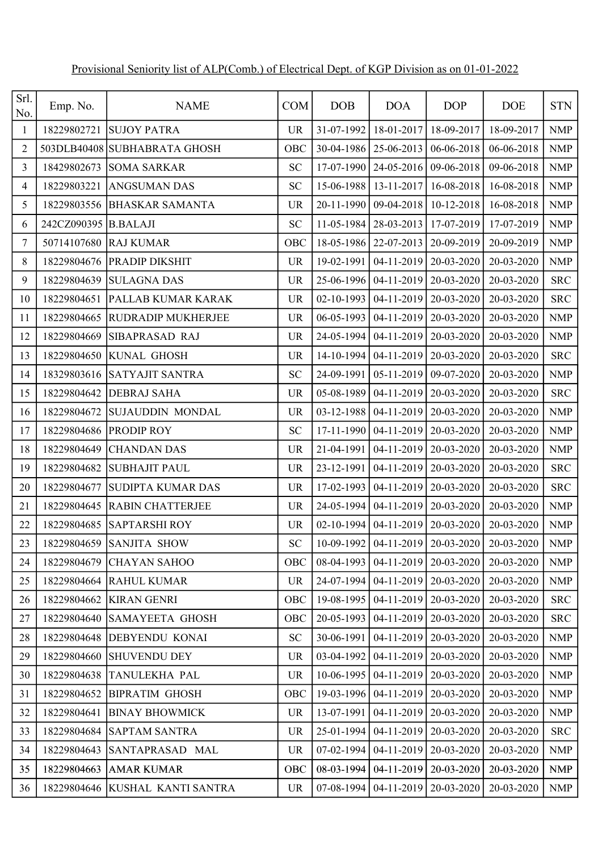| Srl.<br>No.    | Emp. No.    | <b>NAME</b>                     | <b>COM</b> | <b>DOB</b>                         | <b>DOA</b>              | <b>DOP</b> | <b>DOE</b>   | <b>STN</b>                |
|----------------|-------------|---------------------------------|------------|------------------------------------|-------------------------|------------|--------------|---------------------------|
| 1              | 18229802721 | <b>SUJOY PATRA</b>              | <b>UR</b>  | 31-07-1992                         | $18-01-2017$            | 18-09-2017 | 18-09-2017   | <b>NMP</b>                |
| $\overline{c}$ |             | 503DLB40408 SUBHABRATA GHOSH    | OBC        | 30-04-1986                         | 25-06-2013              | 06-06-2018 | 06-06-2018   | <b>NMP</b>                |
| 3              | 18429802673 | <b>SOMA SARKAR</b>              | <b>SC</b>  | 17-07-1990                         | $24-05-2016$            | 09-06-2018 | 09-06-2018   | <b>NMP</b>                |
| 4              | 18229803221 | <b>ANGSUMAN DAS</b>             | <b>SC</b>  | 15-06-1988                         | 13-11-2017              | 16-08-2018 | 16-08-2018   | <b>NMP</b>                |
| 5              | 18229803556 | <b>BHASKAR SAMANTA</b>          | <b>UR</b>  | 20-11-1990                         | 09-04-2018              | 10-12-2018 | 16-08-2018   | <b>NMP</b>                |
| 6              | 242CZ090395 | <b>B.BALAJI</b>                 | <b>SC</b>  | 11-05-1984                         | 28-03-2013              | 17-07-2019 | 17-07-2019   | $\ensuremath{\text{NMP}}$ |
| 7              | 50714107680 | <b>RAJ KUMAR</b>                | OBC        | 18-05-1986                         | 22-07-2013              | 20-09-2019 | 20-09-2019   | <b>NMP</b>                |
| 8              | 18229804676 | <b>PRADIP DIKSHIT</b>           | <b>UR</b>  | 19-02-1991                         | 04-11-2019              | 20-03-2020 | 20-03-2020   | <b>NMP</b>                |
| 9              | 18229804639 | <b>SULAGNA DAS</b>              | <b>UR</b>  | 25-06-1996                         | 04-11-2019              | 20-03-2020 | 20-03-2020   | <b>SRC</b>                |
| 10             | 18229804651 | <b>PALLAB KUMAR KARAK</b>       | <b>UR</b>  | 02-10-1993                         | $04-11-2019$            | 20-03-2020 | 20-03-2020   | <b>SRC</b>                |
| 11             | 18229804665 | <b>RUDRADIP MUKHERJEE</b>       | <b>UR</b>  | 06-05-1993                         | 04-11-2019              | 20-03-2020 | 20-03-2020   | <b>NMP</b>                |
| 12             | 18229804669 | <b>SIBAPRASAD RAJ</b>           | <b>UR</b>  | 24-05-1994                         | 04-11-2019              | 20-03-2020 | 20-03-2020   | <b>NMP</b>                |
| 13             | 18229804650 | KUNAL GHOSH                     | <b>UR</b>  | 14-10-1994                         | 04-11-2019              | 20-03-2020 | 20-03-2020   | <b>SRC</b>                |
| 14             | 18329803616 | <b>SATYAJIT SANTRA</b>          | <b>SC</b>  | 24-09-1991                         | 05-11-2019              | 09-07-2020 | 20-03-2020   | $\ensuremath{\text{NMP}}$ |
| 15             | 18229804642 | <b>DEBRAJ SAHA</b>              | <b>UR</b>  | 05-08-1989                         | $04-11-2019$            | 20-03-2020 | 20-03-2020   | <b>SRC</b>                |
| 16             | 18229804672 | SUJAUDDIN MONDAL                | <b>UR</b>  | 03-12-1988                         | 04-11-2019              | 20-03-2020 | 20-03-2020   | <b>NMP</b>                |
| 17             | 18229804686 | <b>PRODIP ROY</b>               | <b>SC</b>  | 17-11-1990                         | $04-11-2019$            | 20-03-2020 | 20-03-2020   | <b>NMP</b>                |
| 18             | 18229804649 | <b>CHANDAN DAS</b>              | <b>UR</b>  | 21-04-1991                         | 04-11-2019              | 20-03-2020 | 20-03-2020   | $\ensuremath{\text{NMP}}$ |
| 19             | 18229804682 | <b>SUBHAJIT PAUL</b>            | <b>UR</b>  | 23-12-1991                         | 04-11-2019              | 20-03-2020 | 20-03-2020   | <b>SRC</b>                |
| 20             | 18229804677 | <b>SUDIPTA KUMAR DAS</b>        | <b>UR</b>  | 17-02-1993                         | 04-11-2019              | 20-03-2020 | 20-03-2020   | <b>SRC</b>                |
| 21             | 18229804645 | <b>RABIN CHATTERJEE</b>         | <b>UR</b>  | 24-05-1994                         | $04-11-2019$            | 20-03-2020 | 20-03-2020   | NMP                       |
| 22             | 18229804685 | <b>SAPTARSHI ROY</b>            | <b>UR</b>  |                                    | $02-10-1994$ 04-11-2019 | 20-03-2020 | 20-03-2020   | <b>NMP</b>                |
| 23             |             | 18229804659 SANJITA SHOW        | SC         | $10-09-1992$ 04-11-2019 20-03-2020 |                         |            | $20-03-2020$ | <b>NMP</b>                |
| 24             | 18229804679 | <b>CHAYAN SAHOO</b>             | OBC        | 08-04-1993                         | $04-11-2019$            | 20-03-2020 | 20-03-2020   | <b>NMP</b>                |
| 25             | 18229804664 | <b>RAHUL KUMAR</b>              | <b>UR</b>  | 24-07-1994                         | $04-11-2019$            | 20-03-2020 | 20-03-2020   | <b>NMP</b>                |
| 26             | 18229804662 | <b>KIRAN GENRI</b>              | OBC        | 19-08-1995                         | $04-11-2019$            | 20-03-2020 | 20-03-2020   | <b>SRC</b>                |
| 27             | 18229804640 | <b>SAMAYEETA GHOSH</b>          | OBC        | 20-05-1993                         | $04-11-2019$            | 20-03-2020 | 20-03-2020   | <b>SRC</b>                |
| 28             | 18229804648 | <b>DEBYENDU KONAI</b>           | ${\rm SC}$ | 30-06-1991                         | 04-11-2019              | 20-03-2020 | 20-03-2020   | <b>NMP</b>                |
| 29             | 18229804660 | <b>SHUVENDU DEY</b>             | <b>UR</b>  | 03-04-1992                         | $04-11-2019$            | 20-03-2020 | 20-03-2020   | <b>NMP</b>                |
| 30             | 18229804638 | TANULEKHA PAL                   | <b>UR</b>  | 10-06-1995                         | $04-11-2019$            | 20-03-2020 | 20-03-2020   | <b>NMP</b>                |
| 31             | 18229804652 | <b>BIPRATIM GHOSH</b>           | OBC        |                                    | 19-03-1996   04-11-2019 | 20-03-2020 | 20-03-2020   | <b>NMP</b>                |
| 32             | 18229804641 | <b>BINAY BHOWMICK</b>           | UR.        | 13-07-1991                         | $04 - 11 - 2019$        | 20-03-2020 | 20-03-2020   | <b>NMP</b>                |
| 33             | 18229804684 | <b>SAPTAM SANTRA</b>            | UR.        | 25-01-1994                         | 04-11-2019              | 20-03-2020 | 20-03-2020   | <b>SRC</b>                |
| 34             | 18229804643 | SANTAPRASAD MAL                 | <b>UR</b>  | 07-02-1994                         | $04 - 11 - 2019$        | 20-03-2020 | 20-03-2020   | <b>NMP</b>                |
| 35             | 18229804663 | <b>AMAR KUMAR</b>               | OBC        | 08-03-1994                         | $04-11-2019$            | 20-03-2020 | 20-03-2020   | <b>NMP</b>                |
| 36             |             | 18229804646 KUSHAL KANTI SANTRA | <b>UR</b>  | 07-08-1994                         | $04-11-2019$            | 20-03-2020 | 20-03-2020   | <b>NMP</b>                |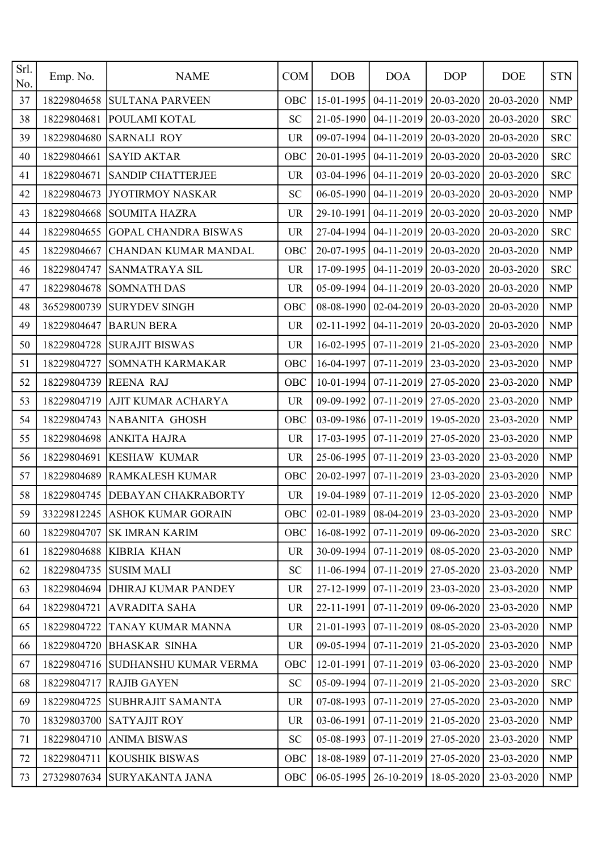| Srl.<br>No. | Emp. No.    | <b>NAME</b>                    | <b>COM</b> | <b>DOB</b> | <b>DOA</b> | <b>DOP</b> | <b>DOE</b>                                    | <b>STN</b> |
|-------------|-------------|--------------------------------|------------|------------|------------|------------|-----------------------------------------------|------------|
| 37          | 18229804658 | <b>SULTANA PARVEEN</b>         | OBC        | 15-01-1995 | 04-11-2019 | 20-03-2020 | 20-03-2020                                    | <b>NMP</b> |
| 38          | 18229804681 | POULAMI KOTAL                  | <b>SC</b>  | 21-05-1990 | 04-11-2019 | 20-03-2020 | 20-03-2020                                    | <b>SRC</b> |
| 39          | 18229804680 | <b>SARNALI ROY</b>             | <b>UR</b>  | 09-07-1994 | 04-11-2019 | 20-03-2020 | 20-03-2020                                    | <b>SRC</b> |
| 40          | 18229804661 | <b>SAYID AKTAR</b>             | OBC        | 20-01-1995 | 04-11-2019 | 20-03-2020 | 20-03-2020                                    | <b>SRC</b> |
| 41          | 18229804671 | <b>SANDIP CHATTERJEE</b>       | <b>UR</b>  | 03-04-1996 | 04-11-2019 | 20-03-2020 | 20-03-2020                                    | <b>SRC</b> |
| 42          | 18229804673 | JYOTIRMOY NASKAR               | <b>SC</b>  | 06-05-1990 | 04-11-2019 | 20-03-2020 | 20-03-2020                                    | <b>NMP</b> |
| 43          | 18229804668 | <b>SOUMITA HAZRA</b>           | <b>UR</b>  | 29-10-1991 | 04-11-2019 | 20-03-2020 | 20-03-2020                                    | <b>NMP</b> |
| 44          | 18229804655 | <b>GOPAL CHANDRA BISWAS</b>    | <b>UR</b>  | 27-04-1994 | 04-11-2019 | 20-03-2020 | 20-03-2020                                    | <b>SRC</b> |
| 45          | 18229804667 | CHANDAN KUMAR MANDAL           | OBC        | 20-07-1995 | 04-11-2019 | 20-03-2020 | 20-03-2020                                    | <b>NMP</b> |
| 46          | 18229804747 | SANMATRAYA SIL                 | <b>UR</b>  | 17-09-1995 | 04-11-2019 | 20-03-2020 | 20-03-2020                                    | <b>SRC</b> |
| 47          | 18229804678 | <b>SOMNATH DAS</b>             | <b>UR</b>  | 05-09-1994 | 04-11-2019 | 20-03-2020 | 20-03-2020                                    | <b>NMP</b> |
| 48          | 36529800739 | <b>SURYDEV SINGH</b>           | OBC        | 08-08-1990 | 02-04-2019 | 20-03-2020 | 20-03-2020                                    | <b>NMP</b> |
| 49          | 18229804647 | <b>BARUN BERA</b>              | <b>UR</b>  | 02-11-1992 | 04-11-2019 | 20-03-2020 | 20-03-2020                                    | <b>NMP</b> |
| 50          | 18229804728 | <b>SURAJIT BISWAS</b>          | <b>UR</b>  | 16-02-1995 | 07-11-2019 | 21-05-2020 | 23-03-2020                                    | <b>NMP</b> |
| 51          | 18229804727 | SOMNATH KARMAKAR               | OBC        | 16-04-1997 | 07-11-2019 | 23-03-2020 | 23-03-2020                                    | <b>NMP</b> |
| 52          | 18229804739 | <b>REENA RAJ</b>               | OBC        | 10-01-1994 | 07-11-2019 | 27-05-2020 | 23-03-2020                                    | <b>NMP</b> |
| 53          | 18229804719 | AJIT KUMAR ACHARYA             | <b>UR</b>  | 09-09-1992 | 07-11-2019 | 27-05-2020 | 23-03-2020                                    | <b>NMP</b> |
| 54          | 18229804743 | NABANITA GHOSH                 | OBC        | 03-09-1986 | 07-11-2019 | 19-05-2020 | 23-03-2020                                    | <b>NMP</b> |
| 55          | 18229804698 | <b>ANKITA HAJRA</b>            | <b>UR</b>  | 17-03-1995 | 07-11-2019 | 27-05-2020 | 23-03-2020                                    | <b>NMP</b> |
| 56          | 18229804691 | <b>KESHAW KUMAR</b>            | <b>UR</b>  | 25-06-1995 | 07-11-2019 | 23-03-2020 | 23-03-2020                                    | <b>NMP</b> |
| 57          | 18229804689 | <b>RAMKALESH KUMAR</b>         | OBC        | 20-02-1997 | 07-11-2019 | 23-03-2020 | 23-03-2020                                    | <b>NMP</b> |
| 58          | 18229804745 | <b>DEBAYAN CHAKRABORTY</b>     | <b>UR</b>  | 19-04-1989 | 07-11-2019 | 12-05-2020 | 23-03-2020                                    | <b>NMP</b> |
| 59          |             | 33229812245 ASHOK KUMAR GORAIN | OBC        |            |            |            | $02-01-1989$ 08-04-2019 23-03-2020 23-03-2020 | <b>NMP</b> |
| 60          | 18229804707 | <b>SK IMRAN KARIM</b>          | OBC        | 16-08-1992 | 07-11-2019 | 09-06-2020 | 23-03-2020                                    | <b>SRC</b> |
| 61          | 18229804688 | <b>KIBRIA KHAN</b>             | <b>UR</b>  | 30-09-1994 | 07-11-2019 | 08-05-2020 | 23-03-2020                                    | <b>NMP</b> |
| 62          | 18229804735 | <b>SUSIM MALI</b>              | <b>SC</b>  | 11-06-1994 | 07-11-2019 | 27-05-2020 | 23-03-2020                                    | <b>NMP</b> |
| 63          | 18229804694 | <b>DHIRAJ KUMAR PANDEY</b>     | <b>UR</b>  | 27-12-1999 | 07-11-2019 | 23-03-2020 | 23-03-2020                                    | <b>NMP</b> |
| 64          | 18229804721 | <b>AVRADITA SAHA</b>           | UR         | 22-11-1991 | 07-11-2019 | 09-06-2020 | 23-03-2020                                    | <b>NMP</b> |
| 65          | 18229804722 | TANAY KUMAR MANNA              | <b>UR</b>  | 21-01-1993 | 07-11-2019 | 08-05-2020 | 23-03-2020                                    | <b>NMP</b> |
| 66          | 18229804720 | <b>BHASKAR SINHA</b>           | UR         | 09-05-1994 | 07-11-2019 | 21-05-2020 | 23-03-2020                                    | <b>NMP</b> |
| 67          | 18229804716 | <b>SUDHANSHU KUMAR VERMA</b>   | OBC        | 12-01-1991 | 07-11-2019 | 03-06-2020 | 23-03-2020                                    | <b>NMP</b> |
| 68          | 18229804717 | <b>RAJIB GAYEN</b>             | <b>SC</b>  | 05-09-1994 | 07-11-2019 | 21-05-2020 | 23-03-2020                                    | <b>SRC</b> |
| 69          | 18229804725 | <b>SUBHRAJIT SAMANTA</b>       | <b>UR</b>  | 07-08-1993 | 07-11-2019 | 27-05-2020 | 23-03-2020                                    | <b>NMP</b> |
| 70          | 18329803700 | <b>SATYAJIT ROY</b>            | <b>UR</b>  | 03-06-1991 | 07-11-2019 | 21-05-2020 | 23-03-2020                                    | <b>NMP</b> |
| 71          | 18229804710 | <b>ANIMA BISWAS</b>            | <b>SC</b>  | 05-08-1993 | 07-11-2019 | 27-05-2020 | 23-03-2020                                    | <b>NMP</b> |
| 72          | 18229804711 | <b>KOUSHIK BISWAS</b>          | OBC        | 18-08-1989 | 07-11-2019 | 27-05-2020 | 23-03-2020                                    | <b>NMP</b> |
| 73          |             | 27329807634 SURYAKANTA JANA    | OBC        | 06-05-1995 | 26-10-2019 | 18-05-2020 | 23-03-2020                                    | <b>NMP</b> |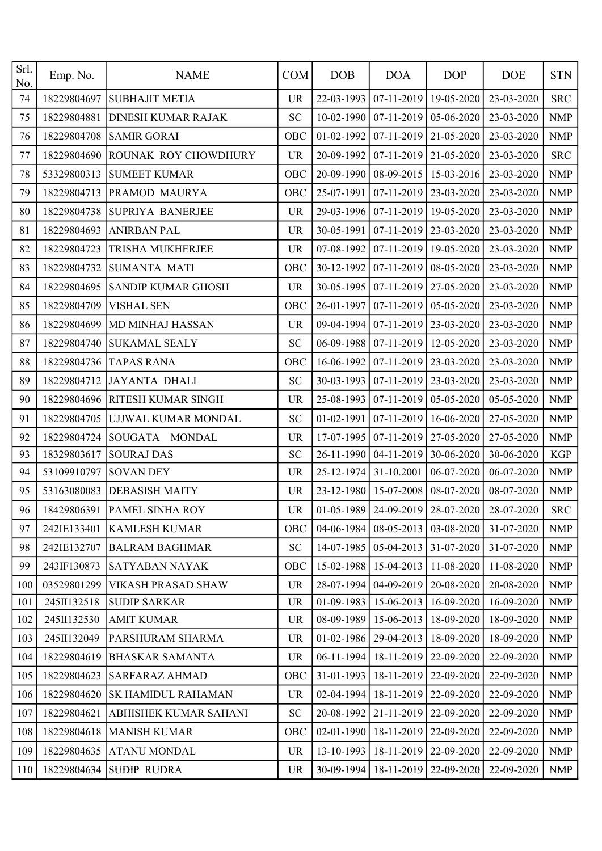| Srl.<br>No. | Emp. No.    | <b>NAME</b>                  | <b>COM</b> | DOB        | <b>DOA</b>       | <b>DOP</b>                                        | <b>DOE</b> | <b>STN</b> |
|-------------|-------------|------------------------------|------------|------------|------------------|---------------------------------------------------|------------|------------|
| 74          | 18229804697 | <b>SUBHAJIT METIA</b>        | <b>UR</b>  | 22-03-1993 | $07-11-2019$     | 19-05-2020                                        | 23-03-2020 | <b>SRC</b> |
| 75          | 18229804881 | <b>DINESH KUMAR RAJAK</b>    | <b>SC</b>  | 10-02-1990 | $07-11-2019$     | 05-06-2020                                        | 23-03-2020 | <b>NMP</b> |
| 76          | 18229804708 | <b>SAMIR GORAI</b>           | OBC        | 01-02-1992 | 07-11-2019       | 21-05-2020                                        | 23-03-2020 | <b>NMP</b> |
| 77          | 18229804690 | ROUNAK ROY CHOWDHURY         | <b>UR</b>  | 20-09-1992 | 07-11-2019       | 21-05-2020                                        | 23-03-2020 | <b>SRC</b> |
| 78          | 53329800313 | <b>SUMEET KUMAR</b>          | OBC        | 20-09-1990 | $08-09-2015$     | 15-03-2016                                        | 23-03-2020 | <b>NMP</b> |
| 79          | 18229804713 | PRAMOD MAURYA                | OBC        | 25-07-1991 | 07-11-2019       | 23-03-2020                                        | 23-03-2020 | <b>NMP</b> |
| 80          | 18229804738 | <b>SUPRIYA BANERJEE</b>      | <b>UR</b>  | 29-03-1996 | $07-11-2019$     | 19-05-2020                                        | 23-03-2020 | <b>NMP</b> |
| 81          | 18229804693 | <b>ANIRBAN PAL</b>           | <b>UR</b>  | 30-05-1991 | 07-11-2019       | 23-03-2020                                        | 23-03-2020 | <b>NMP</b> |
| 82          | 18229804723 | TRISHA MUKHERJEE             | <b>UR</b>  | 07-08-1992 | 07-11-2019       | 19-05-2020                                        | 23-03-2020 | <b>NMP</b> |
| 83          | 18229804732 | <b>SUMANTA MATI</b>          | OBC        | 30-12-1992 | 07-11-2019       | 08-05-2020                                        | 23-03-2020 | <b>NMP</b> |
| 84          | 18229804695 | <b>SANDIP KUMAR GHOSH</b>    | <b>UR</b>  | 30-05-1995 | 07-11-2019       | 27-05-2020                                        | 23-03-2020 | <b>NMP</b> |
| 85          | 18229804709 | <b>VISHAL SEN</b>            | OBC        | 26-01-1997 | $07-11-2019$     | 05-05-2020                                        | 23-03-2020 | <b>NMP</b> |
| 86          | 18229804699 | MD MINHAJ HASSAN             | <b>UR</b>  | 09-04-1994 | 07-11-2019       | 23-03-2020                                        | 23-03-2020 | <b>NMP</b> |
| 87          | 18229804740 | <b>SUKAMAL SEALY</b>         | <b>SC</b>  | 06-09-1988 | $07-11-2019$     | 12-05-2020                                        | 23-03-2020 | <b>NMP</b> |
| 88          | 18229804736 | <b>TAPAS RANA</b>            | OBC        | 16-06-1992 | 07-11-2019       | 23-03-2020                                        | 23-03-2020 | <b>NMP</b> |
| 89          | 18229804712 | <b>JAYANTA DHALI</b>         | <b>SC</b>  | 30-03-1993 |                  | $07-11-2019$ 23-03-2020                           | 23-03-2020 | <b>NMP</b> |
| 90          | 18229804696 | RITESH KUMAR SINGH           | <b>UR</b>  | 25-08-1993 | 07-11-2019       | 05-05-2020                                        | 05-05-2020 | <b>NMP</b> |
| 91          | 18229804705 | UJJWAL KUMAR MONDAL          | <b>SC</b>  | 01-02-1991 | 07-11-2019       | 16-06-2020                                        | 27-05-2020 | <b>NMP</b> |
| 92          | 18229804724 | SOUGATA MONDAL               | <b>UR</b>  | 17-07-1995 | 07-11-2019       | 27-05-2020                                        | 27-05-2020 | <b>NMP</b> |
| 93          | 18329803617 | <b>SOURAJ DAS</b>            | <b>SC</b>  | 26-11-1990 | 04-11-2019       | 30-06-2020                                        | 30-06-2020 | <b>KGP</b> |
| 94          | 53109910797 | <b>SOVAN DEY</b>             | <b>UR</b>  | 25-12-1974 | 31-10.2001       | 06-07-2020                                        | 06-07-2020 | <b>NMP</b> |
| 95          | 53163080083 | <b>DEBASISH MAITY</b>        | <b>UR</b>  | 23-12-1980 | 15-07-2008       | 08-07-2020                                        | 08-07-2020 | <b>NMP</b> |
| 96          |             | 18429806391  PAMEL SINHA ROY | <b>UR</b>  |            |                  | 01-05-1989   24-09-2019   28-07-2020   28-07-2020 |            | <b>SRC</b> |
| 97          | 242IE133401 | <b>KAMLESH KUMAR</b>         | OBC        | 04-06-1984 | $08-05-2013$     | 03-08-2020                                        | 31-07-2020 | <b>NMP</b> |
| 98          | 242IE132707 | <b>BALRAM BAGHMAR</b>        | SC         | 14-07-1985 | 05-04-2013       | 31-07-2020                                        | 31-07-2020 | <b>NMP</b> |
| 99          | 243IF130873 | <b>SATYABAN NAYAK</b>        | OBC        | 15-02-1988 | $15-04-2013$     | 11-08-2020                                        | 11-08-2020 | <b>NMP</b> |
| 100         | 03529801299 | <b>VIKASH PRASAD SHAW</b>    | <b>UR</b>  | 28-07-1994 | 04-09-2019       | 20-08-2020                                        | 20-08-2020 | <b>NMP</b> |
| 101         | 245II132518 | <b>SUDIP SARKAR</b>          | <b>UR</b>  | 01-09-1983 | $15 - 06 - 2013$ | 16-09-2020                                        | 16-09-2020 | <b>NMP</b> |
| 102         | 245II132530 | <b>AMIT KUMAR</b>            | UR         | 08-09-1989 | 15-06-2013       | 18-09-2020                                        | 18-09-2020 | <b>NMP</b> |
| 103         | 245II132049 | PARSHURAM SHARMA             | UR.        | 01-02-1986 | 29-04-2013       | 18-09-2020                                        | 18-09-2020 | <b>NMP</b> |
| 104         | 18229804619 | <b>BHASKAR SAMANTA</b>       | <b>UR</b>  | 06-11-1994 | $18-11-2019$     | 22-09-2020                                        | 22-09-2020 | <b>NMP</b> |
| 105         | 18229804623 | <b>SARFARAZ AHMAD</b>        | OBC        | 31-01-1993 | $18 - 11 - 2019$ | 22-09-2020                                        | 22-09-2020 | <b>NMP</b> |
| 106         | 18229804620 | <b>SK HAMIDUL RAHAMAN</b>    | <b>UR</b>  | 02-04-1994 | 18-11-2019       | 22-09-2020                                        | 22-09-2020 | <b>NMP</b> |
| 107         | 18229804621 | ABHISHEK KUMAR SAHANI        | SC         | 20-08-1992 |                  | 21-11-2019   22-09-2020                           | 22-09-2020 | <b>NMP</b> |
| 108         | 18229804618 | <b>MANISH KUMAR</b>          | OBC        | 02-01-1990 | 18-11-2019       | 22-09-2020                                        | 22-09-2020 | <b>NMP</b> |
| 109         | 18229804635 | <b>ATANU MONDAL</b>          | <b>UR</b>  | 13-10-1993 |                  | 18-11-2019   22-09-2020                           | 22-09-2020 | <b>NMP</b> |
| 110         | 18229804634 | <b>SUDIP RUDRA</b>           | <b>UR</b>  | 30-09-1994 | $18-11-2019$     | 22-09-2020                                        | 22-09-2020 | <b>NMP</b> |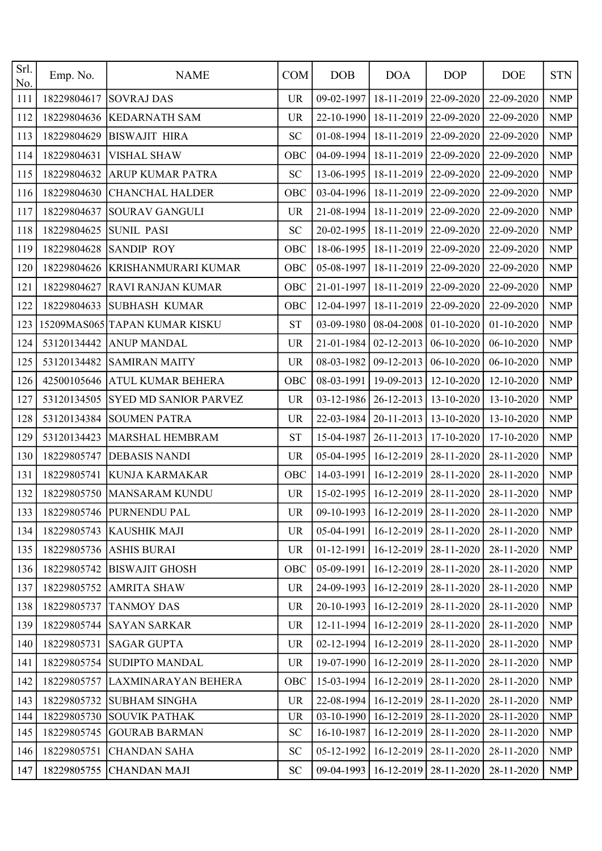| Srl.<br>No. | Emp. No.    | <b>NAME</b>                   | <b>COM</b> | <b>DOB</b>       | <b>DOA</b>       | <b>DOP</b> | <b>DOE</b>                                        | <b>STN</b>                |
|-------------|-------------|-------------------------------|------------|------------------|------------------|------------|---------------------------------------------------|---------------------------|
| 111         | 18229804617 | <b>SOVRAJ DAS</b>             | <b>UR</b>  | 09-02-1997       | 18-11-2019       | 22-09-2020 | 22-09-2020                                        | <b>NMP</b>                |
| 112         | 18229804636 | <b>KEDARNATH SAM</b>          | <b>UR</b>  | 22-10-1990       | $18 - 11 - 2019$ | 22-09-2020 | 22-09-2020                                        | <b>NMP</b>                |
| 113         | 18229804629 | <b>BISWAJIT HIRA</b>          | <b>SC</b>  | 01-08-1994       | 18-11-2019       | 22-09-2020 | 22-09-2020                                        | <b>NMP</b>                |
| 114         | 18229804631 | <b>VISHAL SHAW</b>            | OBC        | 04-09-1994       | 18-11-2019       | 22-09-2020 | 22-09-2020                                        | <b>NMP</b>                |
| 115         | 18229804632 | ARUP KUMAR PATRA              | <b>SC</b>  | 13-06-1995       | 18-11-2019       | 22-09-2020 | 22-09-2020                                        | <b>NMP</b>                |
| 116         | 18229804630 | <b>CHANCHAL HALDER</b>        | OBC        | 03-04-1996       | 18-11-2019       | 22-09-2020 | 22-09-2020                                        | <b>NMP</b>                |
| 117         | 18229804637 | <b>SOURAV GANGULI</b>         | <b>UR</b>  | 21-08-1994       | $18 - 11 - 2019$ | 22-09-2020 | 22-09-2020                                        | <b>NMP</b>                |
| 118         | 18229804625 | <b>SUNIL PASI</b>             | <b>SC</b>  | 20-02-1995       | 18-11-2019       | 22-09-2020 | 22-09-2020                                        | <b>NMP</b>                |
| 119         | 18229804628 | <b>SANDIP ROY</b>             | OBC        | 18-06-1995       | 18-11-2019       | 22-09-2020 | 22-09-2020                                        | $\ensuremath{\text{NMP}}$ |
| 120         | 18229804626 | KRISHANMURARI KUMAR           | OBC        | 05-08-1997       | 18-11-2019       | 22-09-2020 | 22-09-2020                                        | <b>NMP</b>                |
| 121         | 18229804627 | <b>RAVI RANJAN KUMAR</b>      | OBC        | 21-01-1997       | $18 - 11 - 2019$ | 22-09-2020 | 22-09-2020                                        | <b>NMP</b>                |
| 122         | 18229804633 | <b>SUBHASH KUMAR</b>          | OBC        | 12-04-1997       | 18-11-2019       | 22-09-2020 | 22-09-2020                                        | <b>NMP</b>                |
| 123         |             | 15209MAS065 TAPAN KUMAR KISKU | <b>ST</b>  | 03-09-1980       | 08-04-2008       | 01-10-2020 | 01-10-2020                                        | <b>NMP</b>                |
| 124         | 53120134442 | <b>ANUP MANDAL</b>            | <b>UR</b>  | 21-01-1984       | $02 - 12 - 2013$ | 06-10-2020 | 06-10-2020                                        | <b>NMP</b>                |
| 125         | 53120134482 | <b>SAMIRAN MAITY</b>          | <b>UR</b>  | 08-03-1982       | 09-12-2013       | 06-10-2020 | 06-10-2020                                        | <b>NMP</b>                |
| 126         | 42500105646 | ATUL KUMAR BEHERA             | OBC        | 08-03-1991       | 19-09-2013       | 12-10-2020 | 12-10-2020                                        | <b>NMP</b>                |
| 127         | 53120134505 | <b>SYED MD SANIOR PARVEZ</b>  | <b>UR</b>  | 03-12-1986       | 26-12-2013       | 13-10-2020 | 13-10-2020                                        | <b>NMP</b>                |
| 128         | 53120134384 | <b>SOUMEN PATRA</b>           | <b>UR</b>  | 22-03-1984       | 20-11-2013       | 13-10-2020 | 13-10-2020                                        | <b>NMP</b>                |
| 129         | 53120134423 | MARSHAL HEMBRAM               | <b>ST</b>  | 15-04-1987       | 26-11-2013       | 17-10-2020 | 17-10-2020                                        | <b>NMP</b>                |
| 130         | 18229805747 | <b>DEBASIS NANDI</b>          | <b>UR</b>  | 05-04-1995       | 16-12-2019       | 28-11-2020 | 28-11-2020                                        | <b>NMP</b>                |
| 131         | 18229805741 | <b>KUNJA KARMAKAR</b>         | OBC        | 14-03-1991       | 16-12-2019       | 28-11-2020 | 28-11-2020                                        | <b>NMP</b>                |
| 132         | 18229805750 | <b>MANSARAM KUNDU</b>         | <b>UR</b>  | 15-02-1995       | 16-12-2019       | 28-11-2020 | 28-11-2020                                        | <b>NMP</b>                |
| 133         |             | 18229805746 PURNENDU PAL      | <b>UR</b>  |                  |                  |            | 09-10-1993   16-12-2019   28-11-2020   28-11-2020 | <b>NMP</b>                |
| 134         | 18229805743 | <b>KAUSHIK MAJI</b>           | UR.        | 05-04-1991       | $16 - 12 - 2019$ | 28-11-2020 | 28-11-2020                                        | <b>NMP</b>                |
| 135         | 18229805736 | <b>ASHIS BURAI</b>            | <b>UR</b>  | 01-12-1991       | 16-12-2019       | 28-11-2020 | 28-11-2020                                        | <b>NMP</b>                |
| 136         | 18229805742 | <b>BISWAJIT GHOSH</b>         | OBC        | 05-09-1991       | $16 - 12 - 2019$ | 28-11-2020 | 28-11-2020                                        | <b>NMP</b>                |
| 137         | 18229805752 | <b>AMRITA SHAW</b>            | <b>UR</b>  | 24-09-1993       | $16 - 12 - 2019$ | 28-11-2020 | 28-11-2020                                        | <b>NMP</b>                |
| 138         | 18229805737 | <b>TANMOY DAS</b>             | <b>UR</b>  | $20-10-1993$     | $16-12-2019$     | 28-11-2020 | 28-11-2020                                        | <b>NMP</b>                |
| 139         | 18229805744 | <b>SAYAN SARKAR</b>           | <b>UR</b>  | 12-11-1994       | $16 - 12 - 2019$ | 28-11-2020 | 28-11-2020                                        | <b>NMP</b>                |
| 140         | 18229805731 | <b>SAGAR GUPTA</b>            | <b>UR</b>  | $02 - 12 - 1994$ | 16-12-2019       | 28-11-2020 | 28-11-2020                                        | <b>NMP</b>                |
| 141         | 18229805754 | <b>SUDIPTO MANDAL</b>         | UR         | 19-07-1990       | $16 - 12 - 2019$ | 28-11-2020 | 28-11-2020                                        | <b>NMP</b>                |
| 142         | 18229805757 | LAXMINARAYAN BEHERA           | OBC        | 15-03-1994       | $16-12-2019$     | 28-11-2020 | 28-11-2020                                        | <b>NMP</b>                |
| 143         | 18229805732 | <b>SUBHAM SINGHA</b>          | <b>UR</b>  | $22 - 08 - 1994$ | 16-12-2019       | 28-11-2020 | 28-11-2020                                        | <b>NMP</b>                |
| 144         | 18229805730 | <b>SOUVIK PATHAK</b>          | <b>UR</b>  | $03-10-1990$     | $16 - 12 - 2019$ | 28-11-2020 | 28-11-2020                                        | NMP                       |
| 145         | 18229805745 | <b>GOURAB BARMAN</b>          | <b>SC</b>  | 16-10-1987       | $16 - 12 - 2019$ | 28-11-2020 | 28-11-2020                                        | <b>NMP</b>                |
| 146         | 18229805751 | <b>CHANDAN SAHA</b>           | <b>SC</b>  | 05-12-1992       | $16 - 12 - 2019$ | 28-11-2020 | 28-11-2020                                        | <b>NMP</b>                |
| 147         | 18229805755 | <b>CHANDAN MAJI</b>           | ${\bf SC}$ | 09-04-1993       | $16 - 12 - 2019$ | 28-11-2020 | 28-11-2020                                        | <b>NMP</b>                |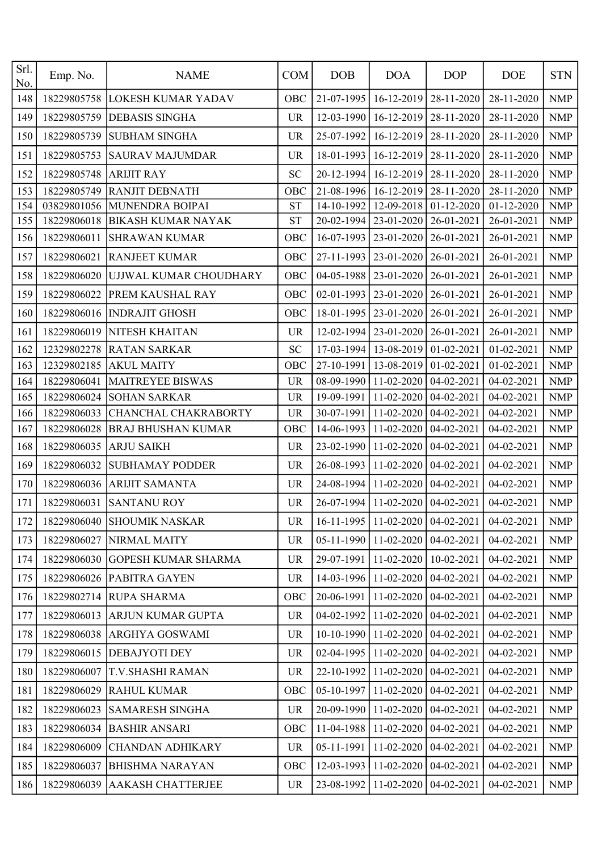| Srl.<br>No. | Emp. No.    | <b>NAME</b>                | <b>COM</b> | <b>DOB</b>       | <b>DOA</b>              | <b>DOP</b> | <b>DOE</b>       | <b>STN</b> |
|-------------|-------------|----------------------------|------------|------------------|-------------------------|------------|------------------|------------|
| 148         | 18229805758 | <b>LOKESH KUMAR YADAV</b>  | OBC        | 21-07-1995       | 16-12-2019              | 28-11-2020 | 28-11-2020       | <b>NMP</b> |
| 149         | 18229805759 | <b>DEBASIS SINGHA</b>      | <b>UR</b>  | 12-03-1990       | 16-12-2019              | 28-11-2020 | 28-11-2020       | <b>NMP</b> |
| 150         | 18229805739 | <b>SUBHAM SINGHA</b>       | <b>UR</b>  | 25-07-1992       | 16-12-2019              | 28-11-2020 | 28-11-2020       | <b>NMP</b> |
| 151         | 18229805753 | <b>SAURAV MAJUMDAR</b>     | <b>UR</b>  | 18-01-1993       | 16-12-2019              | 28-11-2020 | 28-11-2020       | <b>NMP</b> |
| 152         | 18229805748 | <b>ARIJIT RAY</b>          | <b>SC</b>  | 20-12-1994       | 16-12-2019              | 28-11-2020 | 28-11-2020       | <b>NMP</b> |
| 153         | 18229805749 | <b>RANJIT DEBNATH</b>      | OBC        | 21-08-1996       | 16-12-2019              | 28-11-2020 | 28-11-2020       | <b>NMP</b> |
| 154         | 03829801056 | MUNENDRA BOIPAI            | <b>ST</b>  | 14-10-1992       | 12-09-2018              | 01-12-2020 | $01 - 12 - 2020$ | <b>NMP</b> |
| 155         | 18229806018 | <b>BIKASH KUMAR NAYAK</b>  | <b>ST</b>  | 20-02-1994       | 23-01-2020              | 26-01-2021 | 26-01-2021       | <b>NMP</b> |
| 156         | 18229806011 | <b>SHRAWAN KUMAR</b>       | OBC        | 16-07-1993       | 23-01-2020              | 26-01-2021 | 26-01-2021       | <b>NMP</b> |
| 157         | 18229806021 | <b>RANJEET KUMAR</b>       | OBC        | 27-11-1993       | 23-01-2020              | 26-01-2021 | 26-01-2021       | <b>NMP</b> |
| 158         | 18229806020 | UJJWAL KUMAR CHOUDHARY     | OBC        | 04-05-1988       | 23-01-2020              | 26-01-2021 | 26-01-2021       | <b>NMP</b> |
| 159         | 18229806022 | PREM KAUSHAL RAY           | OBC        | 02-01-1993       | 23-01-2020              | 26-01-2021 | 26-01-2021       | <b>NMP</b> |
| 160         | 18229806016 | <b>INDRAJIT GHOSH</b>      | OBC        | 18-01-1995       | 23-01-2020              | 26-01-2021 | 26-01-2021       | <b>NMP</b> |
| 161         | 18229806019 | <b>NITESH KHAITAN</b>      | <b>UR</b>  | 12-02-1994       | 23-01-2020              | 26-01-2021 | 26-01-2021       | <b>NMP</b> |
| 162         | 12329802278 | <b>RATAN SARKAR</b>        | <b>SC</b>  | 17-03-1994       | 13-08-2019              | 01-02-2021 | 01-02-2021       | <b>NMP</b> |
| 163         | 12329802185 | <b>AKUL MAITY</b>          | OBC        | 27-10-1991       | 13-08-2019              | 01-02-2021 | 01-02-2021       | <b>NMP</b> |
| 164         | 18229806041 | <b>MAITREYEE BISWAS</b>    | <b>UR</b>  | 08-09-1990       | 11-02-2020              | 04-02-2021 | 04-02-2021       | <b>NMP</b> |
| 165         | 18229806024 | <b>SOHAN SARKAR</b>        | <b>UR</b>  | 19-09-1991       | 11-02-2020              | 04-02-2021 | 04-02-2021       | <b>NMP</b> |
| 166         | 18229806033 | CHANCHAL CHAKRABORTY       | <b>UR</b>  | 30-07-1991       | 11-02-2020              | 04-02-2021 | 04-02-2021       | <b>NMP</b> |
| 167         | 18229806028 | <b>BRAJ BHUSHAN KUMAR</b>  | OBC        | 14-06-1993       | 11-02-2020              | 04-02-2021 | 04-02-2021       | <b>NMP</b> |
| 168         | 18229806035 | <b>ARJU SAIKH</b>          | <b>UR</b>  | 23-02-1990       | 11-02-2020              | 04-02-2021 | 04-02-2021       | <b>NMP</b> |
| 169         | 18229806032 | <b>SUBHAMAY PODDER</b>     | <b>UR</b>  | 26-08-1993       | 11-02-2020              | 04-02-2021 | 04-02-2021       | <b>NMP</b> |
| 170         | 18229806036 | <b>ARIJIT SAMANTA</b>      | <b>UR</b>  | 24-08-1994       | 11-02-2020              | 04-02-2021 | 04-02-2021       | <b>NMP</b> |
| 171         | 18229806031 | <b>SANTANU ROY</b>         | <b>UR</b>  | 26-07-1994       | 11-02-2020              | 04-02-2021 | 04-02-2021       | <b>NMP</b> |
| 172         | 18229806040 | <b>SHOUMIK NASKAR</b>      | <b>UR</b>  | $16 - 11 - 1995$ | $11-02-2020$ 04-02-2021 |            | 04-02-2021       | <b>NMP</b> |
| 173         | 18229806027 | NIRMAL MAITY               | <b>UR</b>  | 05-11-1990       | 11-02-2020              | 04-02-2021 | 04-02-2021       | <b>NMP</b> |
| 174         | 18229806030 | <b>GOPESH KUMAR SHARMA</b> | <b>UR</b>  | 29-07-1991       | 11-02-2020              | 10-02-2021 | 04-02-2021       | <b>NMP</b> |
| 175         | 18229806026 | PABITRA GAYEN              | <b>UR</b>  | 14-03-1996       | 11-02-2020              | 04-02-2021 | 04-02-2021       | <b>NMP</b> |
| 176         | 18229802714 | <b>RUPA SHARMA</b>         | OBC        | 20-06-1991       | 11-02-2020              | 04-02-2021 | 04-02-2021       | <b>NMP</b> |
| 177         | 18229806013 | ARJUN KUMAR GUPTA          | <b>UR</b>  | 04-02-1992       | 11-02-2020              | 04-02-2021 | 04-02-2021       | <b>NMP</b> |
| 178         | 18229806038 | ARGHYA GOSWAMI             | <b>UR</b>  | 10-10-1990       | 11-02-2020              | 04-02-2021 | 04-02-2021       | <b>NMP</b> |
| 179         | 18229806015 | <b>DEBAJYOTI DEY</b>       | <b>UR</b>  | 02-04-1995       | 11-02-2020              | 04-02-2021 | 04-02-2021       | <b>NMP</b> |
| 180         | 18229806007 | T.V.SHASHI RAMAN           | <b>UR</b>  | 22-10-1992       | 11-02-2020              | 04-02-2021 | 04-02-2021       | <b>NMP</b> |
| 181         | 18229806029 | <b>RAHUL KUMAR</b>         | OBC        | 05-10-1997       | 11-02-2020              | 04-02-2021 | 04-02-2021       | <b>NMP</b> |
| 182         | 18229806023 | <b>SAMARESH SINGHA</b>     | <b>UR</b>  | 20-09-1990       | 11-02-2020              | 04-02-2021 | 04-02-2021       | <b>NMP</b> |
| 183         | 18229806034 | <b>BASHIR ANSARI</b>       | OBC        | 11-04-1988       | 11-02-2020              | 04-02-2021 | 04-02-2021       | <b>NMP</b> |
| 184         | 18229806009 | <b>CHANDAN ADHIKARY</b>    | <b>UR</b>  | 05-11-1991       | 11-02-2020              | 04-02-2021 | 04-02-2021       | <b>NMP</b> |
| 185         | 18229806037 | <b>BHISHMA NARAYAN</b>     | OBC        | 12-03-1993       | 11-02-2020              | 04-02-2021 | 04-02-2021       | <b>NMP</b> |
| 186         | 18229806039 | <b>AAKASH CHATTERJEE</b>   | <b>UR</b>  | 23-08-1992       | 11-02-2020              | 04-02-2021 | 04-02-2021       | <b>NMP</b> |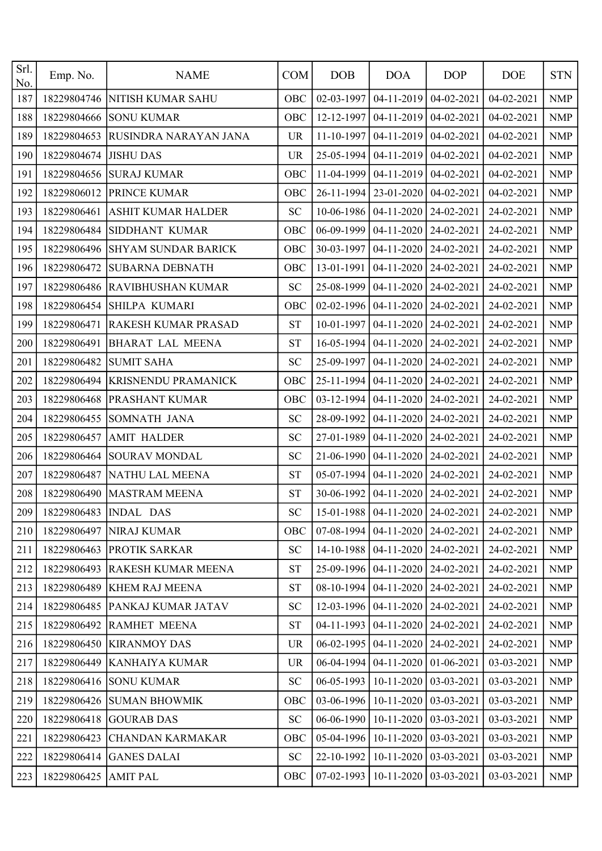| Srl.<br>No. | Emp. No.             | <b>NAME</b>                    | <b>COM</b> | <b>DOB</b> | <b>DOA</b>                           | <b>DOP</b>       | <b>DOE</b>                                        | <b>STN</b> |
|-------------|----------------------|--------------------------------|------------|------------|--------------------------------------|------------------|---------------------------------------------------|------------|
| 187         | 18229804746          | NITISH KUMAR SAHU              | OBC        | 02-03-1997 | 04-11-2019                           | 04-02-2021       | 04-02-2021                                        | <b>NMP</b> |
| 188         | 18229804666          | <b>SONU KUMAR</b>              | OBC        | 12-12-1997 | 04-11-2019                           | 04-02-2021       | 04-02-2021                                        | <b>NMP</b> |
| 189         | 18229804653          | RUSINDRA NARAYAN JANA          | <b>UR</b>  | 11-10-1997 | 04-11-2019                           | 04-02-2021       | 04-02-2021                                        | <b>NMP</b> |
| 190         | 18229804674          | <b>JISHU DAS</b>               | <b>UR</b>  | 25-05-1994 | 04-11-2019                           | 04-02-2021       | 04-02-2021                                        | <b>NMP</b> |
| 191         | 18229804656          | <b>SURAJ KUMAR</b>             | OBC        | 11-04-1999 | 04-11-2019                           | 04-02-2021       | 04-02-2021                                        | <b>NMP</b> |
| 192         | 18229806012          | PRINCE KUMAR                   | OBC        | 26-11-1994 | 23-01-2020                           | 04-02-2021       | 04-02-2021                                        | <b>NMP</b> |
| 193         | 18229806461          | ASHIT KUMAR HALDER             | <b>SC</b>  | 10-06-1986 | 04-11-2020                           | 24-02-2021       | 24-02-2021                                        | <b>NMP</b> |
| 194         | 18229806484          | SIDDHANT KUMAR                 | OBC        | 06-09-1999 | 04-11-2020                           | 24-02-2021       | 24-02-2021                                        | <b>NMP</b> |
| 195         | 18229806496          | <b>SHYAM SUNDAR BARICK</b>     | OBC        | 30-03-1997 | 04-11-2020                           | 24-02-2021       | 24-02-2021                                        | <b>NMP</b> |
| 196         | 18229806472          | <b>SUBARNA DEBNATH</b>         | OBC        | 13-01-1991 | 04-11-2020                           | 24-02-2021       | 24-02-2021                                        | <b>NMP</b> |
| 197         | 18229806486          | <b>RAVIBHUSHAN KUMAR</b>       | <b>SC</b>  | 25-08-1999 | 04-11-2020                           | 24-02-2021       | 24-02-2021                                        | <b>NMP</b> |
| 198         | 18229806454          | <b>SHILPA KUMARI</b>           | OBC        | 02-02-1996 | 04-11-2020                           | 24-02-2021       | 24-02-2021                                        | <b>NMP</b> |
| 199         | 18229806471          | RAKESH KUMAR PRASAD            | <b>ST</b>  | 10-01-1997 | 04-11-2020                           | 24-02-2021       | 24-02-2021                                        | <b>NMP</b> |
| 200         | 18229806491          | <b>BHARAT LAL MEENA</b>        | <b>ST</b>  | 16-05-1994 | 04-11-2020                           | 24-02-2021       | 24-02-2021                                        | <b>NMP</b> |
| 201         | 18229806482          | <b>SUMIT SAHA</b>              | <b>SC</b>  | 25-09-1997 | 04-11-2020                           | 24-02-2021       | 24-02-2021                                        | <b>NMP</b> |
| 202         | 18229806494          | <b>KRISNENDU PRAMANICK</b>     | OBC        | 25-11-1994 | 04-11-2020                           | 24-02-2021       | 24-02-2021                                        | <b>NMP</b> |
| 203         | 18229806468          | PRASHANT KUMAR                 | OBC        | 03-12-1994 | 04-11-2020                           | 24-02-2021       | 24-02-2021                                        | <b>NMP</b> |
| 204         | 18229806455          | SOMNATH JANA                   | <b>SC</b>  | 28-09-1992 | 04-11-2020                           | 24-02-2021       | 24-02-2021                                        | <b>NMP</b> |
| 205         | 18229806457          | <b>AMIT HALDER</b>             | <b>SC</b>  | 27-01-1989 | 04-11-2020                           | 24-02-2021       | 24-02-2021                                        | <b>NMP</b> |
| 206         | 18229806464          | <b>SOURAV MONDAL</b>           | <b>SC</b>  | 21-06-1990 | 04-11-2020                           | 24-02-2021       | 24-02-2021                                        | <b>NMP</b> |
| 207         | 18229806487          | NATHU LAL MEENA                | <b>ST</b>  | 05-07-1994 | 04-11-2020                           | 24-02-2021       | 24-02-2021                                        | <b>NMP</b> |
| 208         | 18229806490          | <b>MASTRAM MEENA</b>           | <b>ST</b>  | 30-06-1992 | 04-11-2020                           | 24-02-2021       | 24-02-2021                                        | <b>NMP</b> |
| 209         |                      | 18229806483   INDAL DAS        | SC         |            |                                      |                  | 15-01-1988   04-11-2020   24-02-2021   24-02-2021 | <b>NMP</b> |
| 210         |                      | 18229806497 NIRAJ KUMAR        | OBC        | 07-08-1994 | 04-11-2020                           | $24 - 02 - 2021$ | 24-02-2021                                        | <b>NMP</b> |
| 211         |                      | 18229806463 PROTIK SARKAR      | <b>SC</b>  |            | 14-10-1988   04-11-2020              | $24-02-2021$     | 24-02-2021                                        | <b>NMP</b> |
| 212         |                      | 18229806493 RAKESH KUMAR MEENA | <b>ST</b>  |            | 25-09-1996   04-11-2020   24-02-2021 |                  | 24-02-2021                                        | <b>NMP</b> |
| 213         |                      | 18229806489 KHEM RAJ MEENA     | <b>ST</b>  | 08-10-1994 | 04-11-2020                           | $24 - 02 - 2021$ | 24-02-2021                                        | <b>NMP</b> |
| 214         |                      | 18229806485 PANKAJ KUMAR JATAV | <b>SC</b>  |            | 12-03-1996   04-11-2020   24-02-2021 |                  | 24-02-2021                                        | <b>NMP</b> |
| 215         | 18229806492          | RAMHET MEENA                   | <b>ST</b>  | 04-11-1993 | 04-11-2020                           | 24-02-2021       | 24-02-2021                                        | <b>NMP</b> |
| 216         |                      | 18229806450 KIRANMOY DAS       | <b>UR</b>  | 06-02-1995 | 04-11-2020                           | 24-02-2021       | 24-02-2021                                        | <b>NMP</b> |
| 217         |                      | 18229806449 KANHAIYA KUMAR     | <b>UR</b>  | 06-04-1994 | 04-11-2020                           | 01-06-2021       | 03-03-2021                                        | <b>NMP</b> |
| 218         |                      | 18229806416 SONU KUMAR         | <b>SC</b>  | 06-05-1993 | 10-11-2020                           | 03-03-2021       | 03-03-2021                                        | <b>NMP</b> |
| 219         |                      | 18229806426 SUMAN BHOWMIK      | OBC        | 03-06-1996 | 10-11-2020                           | 03-03-2021       | 03-03-2021                                        | <b>NMP</b> |
| 220         |                      | 18229806418 GOURAB DAS         | SC         | 06-06-1990 | 10-11-2020                           | 03-03-2021       | 03-03-2021                                        | <b>NMP</b> |
| 221         | 18229806423          | <b>CHANDAN KARMAKAR</b>        | OBC        |            | 05-04-1996   10-11-2020              | $ 03-03-2021 $   | 03-03-2021                                        | <b>NMP</b> |
| 222         | 18229806414          | <b>GANES DALAI</b>             | SC         | 22-10-1992 | $10-11-2020$                         | $ 03-03-2021 $   | 03-03-2021                                        | <b>NMP</b> |
| 223         | 18229806425 AMIT PAL |                                | OBC        |            | $07-02-1993$ 10-11-2020 03-03-2021   |                  | 03-03-2021                                        | <b>NMP</b> |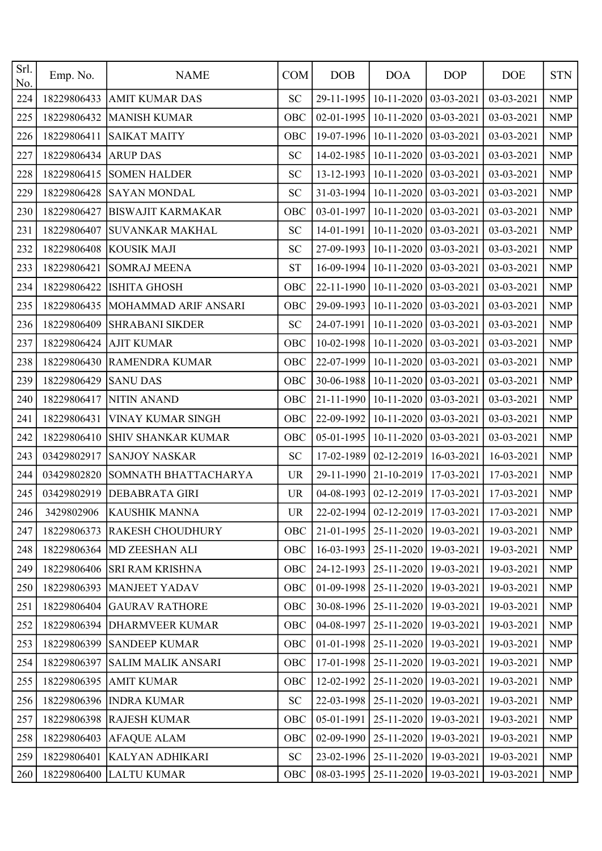| Srl.<br>No. | Emp. No.    | <b>NAME</b>                 | <b>COM</b> | <b>DOB</b> | <b>DOA</b>            | <b>DOP</b>   | <b>DOE</b>                                  | <b>STN</b> |
|-------------|-------------|-----------------------------|------------|------------|-----------------------|--------------|---------------------------------------------|------------|
| 224         | 18229806433 | <b>AMIT KUMAR DAS</b>       | <b>SC</b>  | 29-11-1995 | 10-11-2020            | 03-03-2021   | 03-03-2021                                  | <b>NMP</b> |
| 225         | 18229806432 | <b>MANISH KUMAR</b>         | OBC        | 02-01-1995 | 10-11-2020            | 03-03-2021   | 03-03-2021                                  | <b>NMP</b> |
| 226         | 18229806411 | <b>SAIKAT MAITY</b>         | OBC        | 19-07-1996 | 10-11-2020            | 03-03-2021   | 03-03-2021                                  | <b>NMP</b> |
| 227         | 18229806434 | <b>ARUP DAS</b>             | <b>SC</b>  | 14-02-1985 | 10-11-2020            | 03-03-2021   | 03-03-2021                                  | <b>NMP</b> |
| 228         | 18229806415 | <b>SOMEN HALDER</b>         | <b>SC</b>  | 13-12-1993 | 10-11-2020            | 03-03-2021   | 03-03-2021                                  | <b>NMP</b> |
| 229         | 18229806428 | <b>SAYAN MONDAL</b>         | <b>SC</b>  | 31-03-1994 | 10-11-2020            | 03-03-2021   | 03-03-2021                                  | <b>NMP</b> |
| 230         | 18229806427 | <b>BISWAJIT KARMAKAR</b>    | OBC        | 03-01-1997 | 10-11-2020            | 03-03-2021   | 03-03-2021                                  | <b>NMP</b> |
| 231         | 18229806407 | <b>SUVANKAR MAKHAL</b>      | <b>SC</b>  | 14-01-1991 | 10-11-2020            | 03-03-2021   | 03-03-2021                                  | <b>NMP</b> |
| 232         | 18229806408 | <b>KOUSIK MAJI</b>          | <b>SC</b>  | 27-09-1993 | 10-11-2020            | 03-03-2021   | 03-03-2021                                  | <b>NMP</b> |
| 233         | 18229806421 | <b>SOMRAJ MEENA</b>         | <b>ST</b>  | 16-09-1994 | 10-11-2020            | 03-03-2021   | 03-03-2021                                  | <b>NMP</b> |
| 234         | 18229806422 | <b>ISHITA GHOSH</b>         | OBC        | 22-11-1990 | 10-11-2020            | 03-03-2021   | 03-03-2021                                  | <b>NMP</b> |
| 235         | 18229806435 | MOHAMMAD ARIF ANSARI        | OBC        | 29-09-1993 | 10-11-2020            | 03-03-2021   | 03-03-2021                                  | <b>NMP</b> |
| 236         | 18229806409 | <b>SHRABANI SIKDER</b>      | <b>SC</b>  | 24-07-1991 | 10-11-2020            | 03-03-2021   | 03-03-2021                                  | <b>NMP</b> |
| 237         | 18229806424 | <b>AJIT KUMAR</b>           | OBC        | 10-02-1998 | 10-11-2020            | 03-03-2021   | 03-03-2021                                  | <b>NMP</b> |
| 238         | 18229806430 | RAMENDRA KUMAR              | OBC        | 22-07-1999 | 10-11-2020            | 03-03-2021   | 03-03-2021                                  | <b>NMP</b> |
| 239         | 18229806429 | <b>SANU DAS</b>             | OBC        | 30-06-1988 | 10-11-2020            | 03-03-2021   | 03-03-2021                                  | <b>NMP</b> |
| 240         | 18229806417 | <b>NITIN ANAND</b>          | OBC        | 21-11-1990 | 10-11-2020            | 03-03-2021   | 03-03-2021                                  | <b>NMP</b> |
| 241         | 18229806431 | VINAY KUMAR SINGH           | OBC        | 22-09-1992 | 10-11-2020            | 03-03-2021   | 03-03-2021                                  | <b>NMP</b> |
| 242         | 18229806410 | SHIV SHANKAR KUMAR          | OBC        | 05-01-1995 | 10-11-2020            | 03-03-2021   | 03-03-2021                                  | <b>NMP</b> |
| 243         | 03429802917 | <b>SANJOY NASKAR</b>        | <b>SC</b>  | 17-02-1989 | 02-12-2019            | 16-03-2021   | 16-03-2021                                  | <b>NMP</b> |
| 244         | 03429802820 | SOMNATH BHATTACHARYA        | <b>UR</b>  | 29-11-1990 | 21-10-2019            | 17-03-2021   | 17-03-2021                                  | <b>NMP</b> |
| 245         | 03429802919 | <b>DEBABRATA GIRI</b>       | <b>UR</b>  | 04-08-1993 | 02-12-2019            | 17-03-2021   | 17-03-2021                                  | <b>NMP</b> |
| 246         |             | 3429802906   KAUSHIK MANNA  | <b>UR</b>  |            |                       |              | 22-02-1994 02-12-2019 17-03-2021 17-03-2021 | <b>NMP</b> |
| 247         | 18229806373 | <b>RAKESH CHOUDHURY</b>     | <b>OBC</b> | 21-01-1995 | 25-11-2020            | $19-03-2021$ | 19-03-2021                                  | <b>NMP</b> |
| 248         |             | 18229806364 MD ZEESHAN ALI  | OBC        | 16-03-1993 | 25-11-2020            | 19-03-2021   | 19-03-2021                                  | <b>NMP</b> |
| 249         |             | 18229806406 SRI RAM KRISHNA | OBC        | 24-12-1993 | 25-11-2020            | $19-03-2021$ | 19-03-2021                                  | <b>NMP</b> |
| 250         | 18229806393 | MANJEET YADAV               | OBC        | 01-09-1998 | 25-11-2020            | 19-03-2021   | 19-03-2021                                  | <b>NMP</b> |
| 251         |             | 18229806404 GAURAV RATHORE  | OBC        | 30-08-1996 | 25-11-2020            | 19-03-2021   | 19-03-2021                                  | <b>NMP</b> |
| 252         | 18229806394 | <b>DHARMVEER KUMAR</b>      | OBC        | 04-08-1997 | 25-11-2020            | 19-03-2021   | 19-03-2021                                  | <b>NMP</b> |
| 253         | 18229806399 | <b>SANDEEP KUMAR</b>        | OBC        | 01-01-1998 | 25-11-2020            | 19-03-2021   | 19-03-2021                                  | <b>NMP</b> |
| 254         | 18229806397 | <b>SALIM MALIK ANSARI</b>   | OBC        | 17-01-1998 | 25-11-2020            | 19-03-2021   | 19-03-2021                                  | <b>NMP</b> |
| 255         | 18229806395 | <b>AMIT KUMAR</b>           | OBC        | 12-02-1992 | 25-11-2020            | 19-03-2021   | 19-03-2021                                  | <b>NMP</b> |
| 256         | 18229806396 | <b>INDRA KUMAR</b>          | <b>SC</b>  | 22-03-1998 | 25-11-2020            | 19-03-2021   | 19-03-2021                                  | <b>NMP</b> |
| 257         | 18229806398 | <b>RAJESH KUMAR</b>         | OBC        | 05-01-1991 | 25-11-2020            | 19-03-2021   | 19-03-2021                                  | <b>NMP</b> |
| 258         | 18229806403 | <b>AFAQUE ALAM</b>          | OBC        | 02-09-1990 | 25-11-2020            | 19-03-2021   | 19-03-2021                                  | <b>NMP</b> |
| 259         | 18229806401 | KALYAN ADHIKARI             | ${\rm SC}$ | 23-02-1996 | 25-11-2020            | 19-03-2021   | 19-03-2021                                  | <b>NMP</b> |
| 260         |             | 18229806400 LALTU KUMAR     | OBC        | 08-03-1995 | 25-11-2020 19-03-2021 |              | 19-03-2021                                  | NMP        |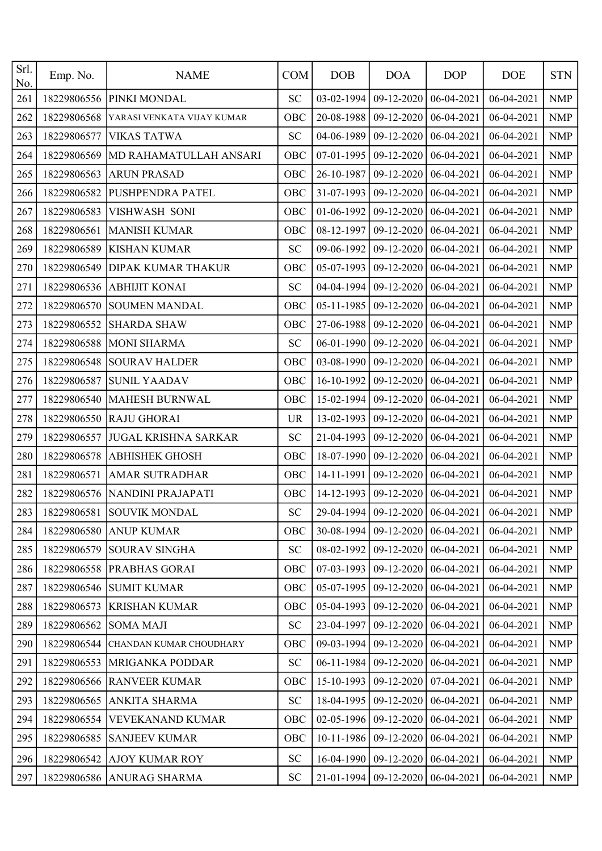| Srl.<br>No. | Emp. No.    | <b>NAME</b>                 | <b>COM</b> | <b>DOB</b>       | <b>DOA</b>                                  | <b>DOP</b> | <b>DOE</b> | <b>STN</b> |
|-------------|-------------|-----------------------------|------------|------------------|---------------------------------------------|------------|------------|------------|
| 261         | 18229806556 | PINKI MONDAL                | <b>SC</b>  | 03-02-1994       | 09-12-2020                                  | 06-04-2021 | 06-04-2021 | <b>NMP</b> |
| 262         | 18229806568 | YARASI VENKATA VIJAY KUMAR  | OBC        | 20-08-1988       | 09-12-2020                                  | 06-04-2021 | 06-04-2021 | <b>NMP</b> |
| 263         | 18229806577 | <b>VIKAS TATWA</b>          | <b>SC</b>  | 04-06-1989       | 09-12-2020                                  | 06-04-2021 | 06-04-2021 | <b>NMP</b> |
| 264         | 18229806569 | MD RAHAMATULLAH ANSARI      | OBC        | 07-01-1995       | 09-12-2020                                  | 06-04-2021 | 06-04-2021 | <b>NMP</b> |
| 265         | 18229806563 | <b>ARUN PRASAD</b>          | OBC        | 26-10-1987       | 09-12-2020                                  | 06-04-2021 | 06-04-2021 | <b>NMP</b> |
| 266         | 18229806582 | PUSHPENDRA PATEL            | OBC        | 31-07-1993       | 09-12-2020                                  | 06-04-2021 | 06-04-2021 | <b>NMP</b> |
| 267         | 18229806583 | VISHWASH SONI               | OBC        | 01-06-1992       | 09-12-2020                                  | 06-04-2021 | 06-04-2021 | <b>NMP</b> |
| 268         | 18229806561 | <b>MANISH KUMAR</b>         | OBC        | 08-12-1997       | 09-12-2020                                  | 06-04-2021 | 06-04-2021 | <b>NMP</b> |
| 269         | 18229806589 | <b>KISHAN KUMAR</b>         | <b>SC</b>  | 09-06-1992       | 09-12-2020                                  | 06-04-2021 | 06-04-2021 | <b>NMP</b> |
| 270         | 18229806549 | <b>DIPAK KUMAR THAKUR</b>   | OBC        | 05-07-1993       | 09-12-2020                                  | 06-04-2021 | 06-04-2021 | <b>NMP</b> |
| 271         | 18229806536 | <b>ABHIJIT KONAI</b>        | <b>SC</b>  | 04-04-1994       | 09-12-2020                                  | 06-04-2021 | 06-04-2021 | <b>NMP</b> |
| 272         | 18229806570 | <b>SOUMEN MANDAL</b>        | OBC        | 05-11-1985       | 09-12-2020                                  | 06-04-2021 | 06-04-2021 | <b>NMP</b> |
| 273         | 18229806552 | <b>SHARDA SHAW</b>          | OBC        | 27-06-1988       | 09-12-2020                                  | 06-04-2021 | 06-04-2021 | <b>NMP</b> |
| 274         | 18229806588 | <b>MONI SHARMA</b>          | <b>SC</b>  | 06-01-1990       | 09-12-2020                                  | 06-04-2021 | 06-04-2021 | <b>NMP</b> |
| 275         | 18229806548 | <b>SOURAV HALDER</b>        | OBC        | 03-08-1990       | 09-12-2020                                  | 06-04-2021 | 06-04-2021 | <b>NMP</b> |
| 276         | 18229806587 | <b>SUNIL YAADAV</b>         | OBC        | 16-10-1992       | 09-12-2020                                  | 06-04-2021 | 06-04-2021 | <b>NMP</b> |
| 277         | 18229806540 | MAHESH BURNWAL              | OBC        | 15-02-1994       | 09-12-2020                                  | 06-04-2021 | 06-04-2021 | <b>NMP</b> |
| 278         | 18229806550 | <b>RAJU GHORAI</b>          | <b>UR</b>  | 13-02-1993       | 09-12-2020                                  | 06-04-2021 | 06-04-2021 | <b>NMP</b> |
| 279         | 18229806557 | <b>JUGAL KRISHNA SARKAR</b> | <b>SC</b>  | 21-04-1993       | 09-12-2020                                  | 06-04-2021 | 06-04-2021 | <b>NMP</b> |
| 280         | 18229806578 | <b>ABHISHEK GHOSH</b>       | OBC        | 18-07-1990       | 09-12-2020                                  | 06-04-2021 | 06-04-2021 | <b>NMP</b> |
| 281         | 18229806571 | <b>AMAR SUTRADHAR</b>       | OBC        | 14-11-1991       | 09-12-2020                                  | 06-04-2021 | 06-04-2021 | <b>NMP</b> |
| 282         | 18229806576 | NANDINI PRAJAPATI           | OBC        | 14-12-1993       | 09-12-2020                                  | 06-04-2021 | 06-04-2021 | <b>NMP</b> |
| 283         |             | 18229806581 SOUVIK MONDAL   | <b>SC</b>  |                  | 29-04-1994 09-12-2020 06-04-2021 06-04-2021 |            |            | NMP        |
| 284         | 18229806580 | <b>ANUP KUMAR</b>           | <b>OBC</b> | 30-08-1994       | 09-12-2020                                  | 06-04-2021 | 06-04-2021 | <b>NMP</b> |
| 285         |             | 18229806579 SOURAV SINGHA   | SC         | 08-02-1992       | 09-12-2020                                  | 06-04-2021 | 06-04-2021 | <b>NMP</b> |
| 286         |             | 18229806558 PRABHAS GORAI   | OBC        | 07-03-1993       | 09-12-2020                                  | 06-04-2021 | 06-04-2021 | <b>NMP</b> |
| 287         | 18229806546 | <b>SUMIT KUMAR</b>          | OBC        | 05-07-1995       | 09-12-2020                                  | 06-04-2021 | 06-04-2021 | <b>NMP</b> |
| 288         | 18229806573 | <b>KRISHAN KUMAR</b>        | OBC        | 05-04-1993       | 09-12-2020                                  | 06-04-2021 | 06-04-2021 | <b>NMP</b> |
| 289         | 18229806562 | <b>SOMA MAJI</b>            | <b>SC</b>  | 23-04-1997       | 09-12-2020                                  | 06-04-2021 | 06-04-2021 | <b>NMP</b> |
| 290         | 18229806544 | CHANDAN KUMAR CHOUDHARY     | OBC        | 09-03-1994       | 09-12-2020                                  | 06-04-2021 | 06-04-2021 | <b>NMP</b> |
| 291         | 18229806553 | <b>MRIGANKA PODDAR</b>      | <b>SC</b>  | 06-11-1984       | 09-12-2020                                  | 06-04-2021 | 06-04-2021 | <b>NMP</b> |
| 292         |             | 18229806566 RANVEER KUMAR   | OBC        | 15-10-1993       | 09-12-2020                                  | 07-04-2021 | 06-04-2021 | <b>NMP</b> |
| 293         | 18229806565 | ANKITA SHARMA               | <b>SC</b>  | 18-04-1995       | 09-12-2020                                  | 06-04-2021 | 06-04-2021 | <b>NMP</b> |
| 294         | 18229806554 | VEVEKANAND KUMAR            | OBC        | 02-05-1996       | 09-12-2020                                  | 06-04-2021 | 06-04-2021 | <b>NMP</b> |
| 295         | 18229806585 | <b>SANJEEV KUMAR</b>        | OBC        | $10 - 11 - 1986$ | 09-12-2020                                  | 06-04-2021 | 06-04-2021 | <b>NMP</b> |
| 296         | 18229806542 | <b>AJOY KUMAR ROY</b>       | <b>SC</b>  | 16-04-1990       | $09-12-2020$                                | 06-04-2021 | 06-04-2021 | <b>NMP</b> |
| 297         |             | 18229806586 ANURAG SHARMA   | <b>SC</b>  |                  | 21-01-1994   09-12-2020   06-04-2021        |            | 06-04-2021 | <b>NMP</b> |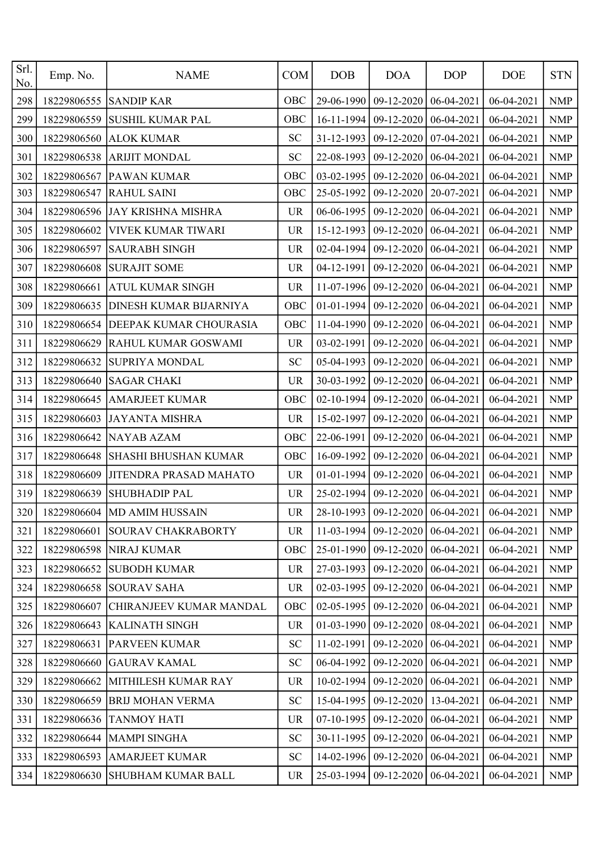| Srl.<br>No. | Emp. No.    | <b>NAME</b>                    | <b>COM</b> | <b>DOB</b> | <b>DOA</b>   | <b>DOP</b> | <b>DOE</b>                                        | <b>STN</b>                |
|-------------|-------------|--------------------------------|------------|------------|--------------|------------|---------------------------------------------------|---------------------------|
| 298         | 18229806555 | <b>SANDIP KAR</b>              | OBC        | 29-06-1990 | 09-12-2020   | 06-04-2021 | 06-04-2021                                        | <b>NMP</b>                |
| 299         | 18229806559 | <b>SUSHIL KUMAR PAL</b>        | OBC        | 16-11-1994 | 09-12-2020   | 06-04-2021 | 06-04-2021                                        | <b>NMP</b>                |
| 300         | 18229806560 | <b>ALOK KUMAR</b>              | <b>SC</b>  | 31-12-1993 | 09-12-2020   | 07-04-2021 | 06-04-2021                                        | <b>NMP</b>                |
| 301         | 18229806538 | <b>ARIJIT MONDAL</b>           | <b>SC</b>  | 22-08-1993 | 09-12-2020   | 06-04-2021 | 06-04-2021                                        | <b>NMP</b>                |
| 302         | 18229806567 | <b>PAWAN KUMAR</b>             | OBC        | 03-02-1995 | 09-12-2020   | 06-04-2021 | 06-04-2021                                        | <b>NMP</b>                |
| 303         | 18229806547 | <b>RAHUL SAINI</b>             | OBC        | 25-05-1992 | 09-12-2020   | 20-07-2021 | 06-04-2021                                        | <b>NMP</b>                |
| 304         | 18229806596 | <b>JAY KRISHNA MISHRA</b>      | <b>UR</b>  | 06-06-1995 | 09-12-2020   | 06-04-2021 | 06-04-2021                                        | <b>NMP</b>                |
| 305         | 18229806602 | VIVEK KUMAR TIWARI             | <b>UR</b>  | 15-12-1993 | 09-12-2020   | 06-04-2021 | 06-04-2021                                        | <b>NMP</b>                |
| 306         | 18229806597 | <b>SAURABH SINGH</b>           | <b>UR</b>  | 02-04-1994 | 09-12-2020   | 06-04-2021 | 06-04-2021                                        | <b>NMP</b>                |
| 307         | 18229806608 | <b>SURAJIT SOME</b>            | <b>UR</b>  | 04-12-1991 | 09-12-2020   | 06-04-2021 | 06-04-2021                                        | <b>NMP</b>                |
| 308         | 18229806661 | <b>ATUL KUMAR SINGH</b>        | <b>UR</b>  | 11-07-1996 | 09-12-2020   | 06-04-2021 | 06-04-2021                                        | <b>NMP</b>                |
| 309         | 18229806635 | <b>DINESH KUMAR BIJARNIYA</b>  | OBC        | 01-01-1994 | 09-12-2020   | 06-04-2021 | 06-04-2021                                        | $\ensuremath{\text{NMP}}$ |
| 310         | 18229806654 | DEEPAK KUMAR CHOURASIA         | OBC        | 11-04-1990 | 09-12-2020   | 06-04-2021 | 06-04-2021                                        | <b>NMP</b>                |
| 311         | 18229806629 | <b>RAHUL KUMAR GOSWAMI</b>     | <b>UR</b>  | 03-02-1991 | 09-12-2020   | 06-04-2021 | 06-04-2021                                        | <b>NMP</b>                |
| 312         | 18229806632 | SUPRIYA MONDAL                 | <b>SC</b>  | 05-04-1993 | 09-12-2020   | 06-04-2021 | 06-04-2021                                        | <b>NMP</b>                |
| 313         | 18229806640 | <b>SAGAR CHAKI</b>             | <b>UR</b>  | 30-03-1992 | 09-12-2020   | 06-04-2021 | 06-04-2021                                        | <b>NMP</b>                |
| 314         | 18229806645 | <b>AMARJEET KUMAR</b>          | OBC        | 02-10-1994 | 09-12-2020   | 06-04-2021 | 06-04-2021                                        | <b>NMP</b>                |
| 315         | 18229806603 | <b>JAYANTA MISHRA</b>          | <b>UR</b>  | 15-02-1997 | 09-12-2020   | 06-04-2021 | 06-04-2021                                        | <b>NMP</b>                |
| 316         | 18229806642 | NAYAB AZAM                     | OBC        | 22-06-1991 | 09-12-2020   | 06-04-2021 | 06-04-2021                                        | <b>NMP</b>                |
| 317         | 18229806648 | <b>SHASHI BHUSHAN KUMAR</b>    | OBC        | 16-09-1992 | 09-12-2020   | 06-04-2021 | 06-04-2021                                        | <b>NMP</b>                |
| 318         | 18229806609 | <b>JITENDRA PRASAD MAHATO</b>  | <b>UR</b>  | 01-01-1994 | 09-12-2020   | 06-04-2021 | 06-04-2021                                        | <b>NMP</b>                |
| 319         | 18229806639 | <b>SHUBHADIP PAL</b>           | <b>UR</b>  | 25-02-1994 | 09-12-2020   | 06-04-2021 | 06-04-2021                                        | <b>NMP</b>                |
| 320         |             | 18229806604   MD AMIM HUSSAIN  | <b>UR</b>  |            |              |            | 28-10-1993   09-12-2020   06-04-2021   06-04-2021 | NMP                       |
| 321         | 18229806601 | <b>SOURAV CHAKRABORTY</b>      | UR.        | 11-03-1994 | 09-12-2020   | 06-04-2021 | 06-04-2021                                        | <b>NMP</b>                |
| 322         |             | 18229806598 NIRAJ KUMAR        | OBC        | 25-01-1990 | 09-12-2020   | 06-04-2021 | 06-04-2021                                        | <b>NMP</b>                |
| 323         | 18229806652 | <b>SUBODH KUMAR</b>            | <b>UR</b>  | 27-03-1993 | 09-12-2020   | 06-04-2021 | 06-04-2021                                        | <b>NMP</b>                |
| 324         | 18229806658 | <b>SOURAV SAHA</b>             | <b>UR</b>  | 02-03-1995 | 09-12-2020   | 06-04-2021 | 06-04-2021                                        | <b>NMP</b>                |
| 325         | 18229806607 | <b>CHIRANJEEV KUMAR MANDAL</b> | OBC        | 02-05-1995 | 09-12-2020   | 06-04-2021 | 06-04-2021                                        | <b>NMP</b>                |
| 326         | 18229806643 | <b>KALINATH SINGH</b>          | <b>UR</b>  | 01-03-1990 | 09-12-2020   | 08-04-2021 | 06-04-2021                                        | <b>NMP</b>                |
| 327         | 18229806631 | <b>PARVEEN KUMAR</b>           | <b>SC</b>  | 11-02-1991 | 09-12-2020   | 06-04-2021 | 06-04-2021                                        | <b>NMP</b>                |
| 328         | 18229806660 | <b>GAURAV KAMAL</b>            | <b>SC</b>  | 06-04-1992 | 09-12-2020   | 06-04-2021 | 06-04-2021                                        | <b>NMP</b>                |
| 329         | 18229806662 | MITHILESH KUMAR RAY            | <b>UR</b>  | 10-02-1994 | 09-12-2020   | 06-04-2021 | 06-04-2021                                        | <b>NMP</b>                |
| 330         | 18229806659 | <b>BRIJ MOHAN VERMA</b>        | <b>SC</b>  | 15-04-1995 | 09-12-2020   | 13-04-2021 | 06-04-2021                                        | <b>NMP</b>                |
| 331         | 18229806636 | <b>TANMOY HATI</b>             | <b>UR</b>  | 07-10-1995 | 09-12-2020   | 06-04-2021 | 06-04-2021                                        | <b>NMP</b>                |
| 332         | 18229806644 | MAMPI SINGHA                   | SC         | 30-11-1995 | 09-12-2020   | 06-04-2021 | 06-04-2021                                        | <b>NMP</b>                |
| 333         | 18229806593 | <b>AMARJEET KUMAR</b>          | SC         | 14-02-1996 | 09-12-2020   | 06-04-2021 | 06-04-2021                                        | <b>NMP</b>                |
| 334         | 18229806630 | <b>SHUBHAM KUMAR BALL</b>      | <b>UR</b>  | 25-03-1994 | $09-12-2020$ | 06-04-2021 | 06-04-2021                                        | <b>NMP</b>                |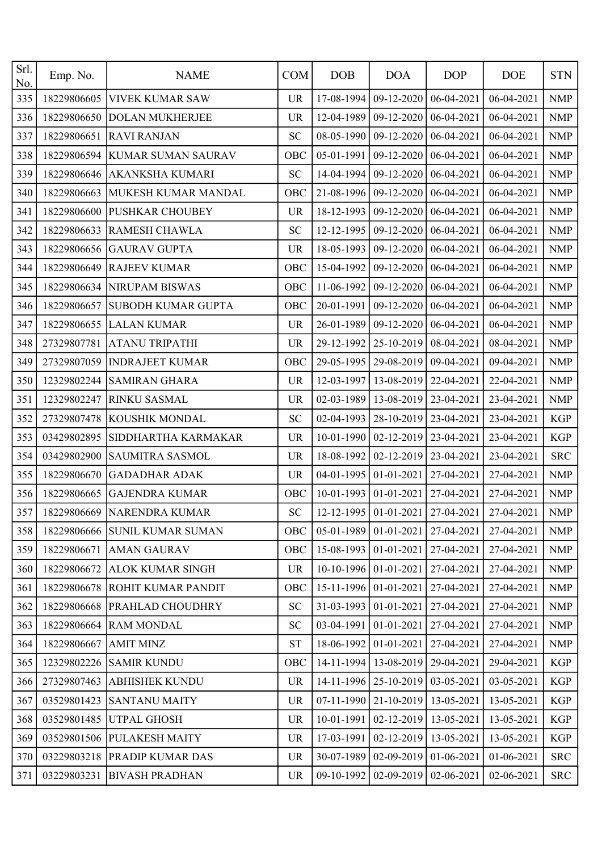| Srl.<br>No. | Emp. No.    | <b>NAME</b>                    | <b>COM</b> | <b>DOB</b>       | <b>DOA</b>              | <b>DOP</b>       | <b>DOE</b>                                  | <b>STN</b> |
|-------------|-------------|--------------------------------|------------|------------------|-------------------------|------------------|---------------------------------------------|------------|
| 335         | 18229806605 | <b>VIVEK KUMAR SAW</b>         | <b>UR</b>  | 17-08-1994       | 09-12-2020              | 06-04-2021       | 06-04-2021                                  | <b>NMP</b> |
| 336         | 18229806650 | <b>DOLAN MUKHERJEE</b>         | <b>UR</b>  | 12-04-1989       | 09-12-2020              | 06-04-2021       | 06-04-2021                                  | <b>NMP</b> |
| 337         | 18229806651 | <b>RAVI RANJAN</b>             | <b>SC</b>  | 08-05-1990       | 09-12-2020              | 06-04-2021       | 06-04-2021                                  | <b>NMP</b> |
| 338         | 18229806594 | <b>KUMAR SUMAN SAURAV</b>      | OBC        | 05-01-1991       | 09-12-2020              | 06-04-2021       | 06-04-2021                                  | <b>NMP</b> |
| 339         | 18229806646 | AKANKSHA KUMARI                | <b>SC</b>  | 14-04-1994       | 09-12-2020              | 06-04-2021       | 06-04-2021                                  | <b>NMP</b> |
| 340         | 18229806663 | MUKESH KUMAR MANDAL            | OBC        | 21-08-1996       | 09-12-2020              | 06-04-2021       | 06-04-2021                                  | <b>NMP</b> |
| 341         | 18229806600 | <b>PUSHKAR CHOUBEY</b>         | <b>UR</b>  | 18-12-1993       | 09-12-2020              | 06-04-2021       | 06-04-2021                                  | <b>NMP</b> |
| 342         | 18229806633 | <b>RAMESH CHAWLA</b>           | <b>SC</b>  | 12-12-1995       | 09-12-2020              | 06-04-2021       | 06-04-2021                                  | <b>NMP</b> |
| 343         | 18229806656 | <b>GAURAV GUPTA</b>            | <b>UR</b>  | 18-05-1993       | 09-12-2020              | 06-04-2021       | 06-04-2021                                  | <b>NMP</b> |
| 344         | 18229806649 | <b>RAJEEV KUMAR</b>            | OBC        | 15-04-1992       | 09-12-2020              | 06-04-2021       | 06-04-2021                                  | <b>NMP</b> |
| 345         | 18229806634 | <b>NIRUPAM BISWAS</b>          | OBC        | 11-06-1992       | 09-12-2020              | 06-04-2021       | 06-04-2021                                  | <b>NMP</b> |
| 346         | 18229806657 | SUBODH KUMAR GUPTA             | OBC        | 20-01-1991       | 09-12-2020              | 06-04-2021       | 06-04-2021                                  | <b>NMP</b> |
| 347         | 18229806655 | <b>LALAN KUMAR</b>             | <b>UR</b>  | 26-01-1989       | 09-12-2020              | 06-04-2021       | 06-04-2021                                  | <b>NMP</b> |
| 348         | 27329807781 | <b>ATANU TRIPATHI</b>          | <b>UR</b>  | 29-12-1992       | 25-10-2019              | 08-04-2021       | 08-04-2021                                  | <b>NMP</b> |
| 349         | 27329807059 | <b>INDRAJEET KUMAR</b>         | OBC        | 29-05-1995       | 29-08-2019              | 09-04-2021       | 09-04-2021                                  | <b>NMP</b> |
| 350         | 12329802244 | <b>SAMIRAN GHARA</b>           | <b>UR</b>  | 12-03-1997       | 13-08-2019              | 22-04-2021       | 22-04-2021                                  | <b>NMP</b> |
| 351         | 12329802247 | RINKU SASMAL                   | <b>UR</b>  | 02-03-1989       | 13-08-2019              | 23-04-2021       | 23-04-2021                                  | <b>NMP</b> |
| 352         | 27329807478 | KOUSHIK MONDAL                 | <b>SC</b>  | 02-04-1993       | 28-10-2019              | 23-04-2021       | 23-04-2021                                  | <b>KGP</b> |
| 353         | 03429802895 | SIDDHARTHA KARMAKAR            | <b>UR</b>  | 10-01-1990       | 02-12-2019              | 23-04-2021       | 23-04-2021                                  | <b>KGP</b> |
| 354         | 03429802900 | SAUMITRA SASMOL                | <b>UR</b>  | 18-08-1992       | 02-12-2019              | 23-04-2021       | 23-04-2021                                  | <b>SRC</b> |
| 355         | 18229806670 | <b>GADADHAR ADAK</b>           | <b>UR</b>  | 04-01-1995       | 01-01-2021              | 27-04-2021       | 27-04-2021                                  | <b>NMP</b> |
| 356         | 18229806665 | <b>GAJENDRA KUMAR</b>          | OBC        | 10-01-1993       | 01-01-2021              | 27-04-2021       | 27-04-2021                                  | <b>NMP</b> |
| 357         |             | 18229806669 NARENDRA KUMAR     | SC         |                  |                         |                  | 12-12-1995 01-01-2021 27-04-2021 27-04-2021 | NMP        |
| 358         |             | 18229806666 SUNIL KUMAR SUMAN  | <b>OBC</b> | 05-01-1989       | 01-01-2021              | 27-04-2021       | 27-04-2021                                  | <b>NMP</b> |
| 359         | 18229806671 | <b>AMAN GAURAV</b>             | OBC        | 15-08-1993       | 01-01-2021              | 27-04-2021       | 27-04-2021                                  | <b>NMP</b> |
| 360         | 18229806672 | <b>ALOK KUMAR SINGH</b>        | <b>UR</b>  | $10-10-1996$     | 01-01-2021              | 27-04-2021       | 27-04-2021                                  | <b>NMP</b> |
| 361         | 18229806678 | <b>ROHIT KUMAR PANDIT</b>      | OBC        | 15-11-1996       | 01-01-2021              | 27-04-2021       | 27-04-2021                                  | <b>NMP</b> |
| 362         | 18229806668 | <b>PRAHLAD CHOUDHRY</b>        | <b>SC</b>  | 31-03-1993       | 01-01-2021              | 27-04-2021       | 27-04-2021                                  | <b>NMP</b> |
| 363         | 18229806664 | <b>RAM MONDAL</b>              | <b>SC</b>  | 03-04-1991       | 01-01-2021              | 27-04-2021       | 27-04-2021                                  | <b>NMP</b> |
| 364         | 18229806667 | <b>AMIT MINZ</b>               | <b>ST</b>  | 18-06-1992       | 01-01-2021              | 27-04-2021       | 27-04-2021                                  | <b>NMP</b> |
| 365         | 12329802226 | <b>SAMIR KUNDU</b>             | OBC        | 14-11-1994       | 13-08-2019              | 29-04-2021       | 29-04-2021                                  | <b>KGP</b> |
| 366         | 27329807463 | <b>ABHISHEK KUNDU</b>          | <b>UR</b>  | $14 - 11 - 1996$ | 25-10-2019              | 03-05-2021       | 03-05-2021                                  | <b>KGP</b> |
| 367         | 03529801423 | <b>SANTANU MAITY</b>           | <b>UR</b>  | 07-11-1990       | 21-10-2019              | 13-05-2021       | 13-05-2021                                  | <b>KGP</b> |
| 368         | 03529801485 | <b>UTPAL GHOSH</b>             | <b>UR</b>  | 10-01-1991       | 02-12-2019              | 13-05-2021       | 13-05-2021                                  | <b>KGP</b> |
| 369         |             | 03529801506 PULAKESH MAITY     | <b>UR</b>  | 17-03-1991       | 02-12-2019              | $13 - 05 - 2021$ | 13-05-2021                                  | <b>KGP</b> |
| 370         |             | 03229803218   PRADIP KUMAR DAS | UR         | 30-07-1989       | 02-09-2019              | 01-06-2021       | 01-06-2021                                  | <b>SRC</b> |
| 371         | 03229803231 | <b>BIVASH PRADHAN</b>          | <b>UR</b>  | 09-10-1992       | $02-09-2019$ 02-06-2021 |                  | 02-06-2021                                  | <b>SRC</b> |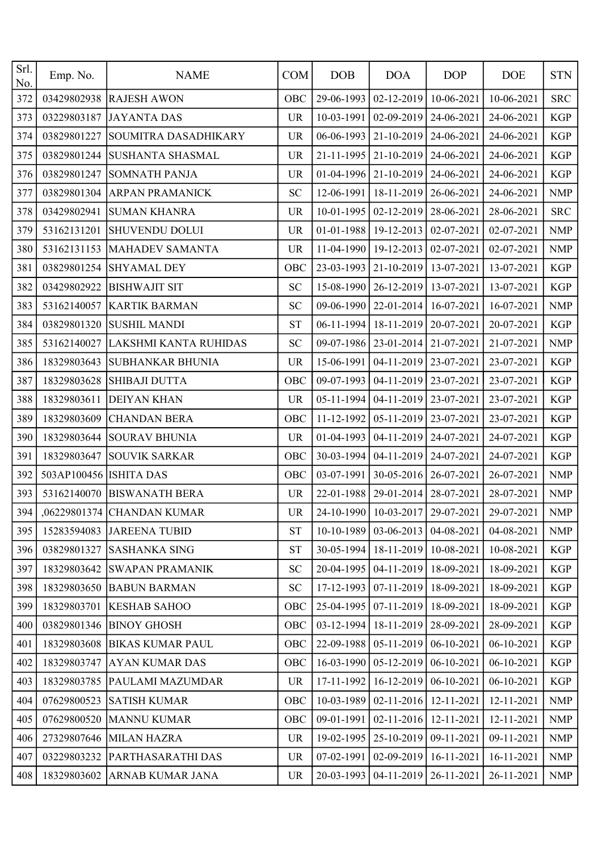| Srl.<br>No. | Emp. No.               | <b>NAME</b>                | <b>COM</b> | <b>DOB</b> | <b>DOA</b>                           | <b>DOP</b>   | <b>DOE</b>                                        | <b>STN</b> |
|-------------|------------------------|----------------------------|------------|------------|--------------------------------------|--------------|---------------------------------------------------|------------|
| 372         | 03429802938            | <b>RAJESH AWON</b>         | OBC        | 29-06-1993 | $02 - 12 - 2019$                     | 10-06-2021   | 10-06-2021                                        | <b>SRC</b> |
| 373         | 03229803187            | <b>JAYANTA DAS</b>         | <b>UR</b>  | 10-03-1991 | $02-09-2019$                         | 24-06-2021   | 24-06-2021                                        | <b>KGP</b> |
| 374         | 03829801227            | SOUMITRA DASADHIKARY       | <b>UR</b>  | 06-06-1993 | 21-10-2019                           | 24-06-2021   | 24-06-2021                                        | <b>KGP</b> |
| 375         | 03829801244            | <b>SUSHANTA SHASMAL</b>    | <b>UR</b>  | 21-11-1995 | 21-10-2019                           | 24-06-2021   | 24-06-2021                                        | <b>KGP</b> |
| 376         | 03829801247            | <b>SOMNATH PANJA</b>       | <b>UR</b>  | 01-04-1996 | 21-10-2019                           | 24-06-2021   | 24-06-2021                                        | <b>KGP</b> |
| 377         | 03829801304            | <b>ARPAN PRAMANICK</b>     | <b>SC</b>  | 12-06-1991 | 18-11-2019                           | 26-06-2021   | 24-06-2021                                        | <b>NMP</b> |
| 378         | 03429802941            | <b>SUMAN KHANRA</b>        | <b>UR</b>  | 10-01-1995 | 02-12-2019                           | $28-06-2021$ | 28-06-2021                                        | <b>SRC</b> |
| 379         | 53162131201            | <b>SHUVENDU DOLUI</b>      | <b>UR</b>  | 01-01-1988 | 19-12-2013                           | 02-07-2021   | 02-07-2021                                        | <b>NMP</b> |
| 380         | 53162131153            | MAHADEV SAMANTA            | <b>UR</b>  | 11-04-1990 | 19-12-2013                           | 02-07-2021   | 02-07-2021                                        | <b>NMP</b> |
| 381         | 03829801254            | <b>SHYAMAL DEY</b>         | OBC        | 23-03-1993 | 21-10-2019                           | 13-07-2021   | 13-07-2021                                        | <b>KGP</b> |
| 382         | 03429802922            | <b>BISHWAJIT SIT</b>       | <b>SC</b>  | 15-08-1990 | 26-12-2019                           | 13-07-2021   | 13-07-2021                                        | <b>KGP</b> |
| 383         | 53162140057            | <b>KARTIK BARMAN</b>       | <b>SC</b>  | 09-06-1990 | 22-01-2014                           | 16-07-2021   | 16-07-2021                                        | <b>NMP</b> |
| 384         | 03829801320            | <b>SUSHIL MANDI</b>        | <b>ST</b>  | 06-11-1994 | 18-11-2019                           | 20-07-2021   | 20-07-2021                                        | <b>KGP</b> |
| 385         | 53162140027            | LAKSHMI KANTA RUHIDAS      | <b>SC</b>  | 09-07-1986 | $23 - 01 - 2014$                     | 21-07-2021   | 21-07-2021                                        | <b>NMP</b> |
| 386         | 18329803643            | <b>SUBHANKAR BHUNIA</b>    | <b>UR</b>  | 15-06-1991 | 04-11-2019                           | 23-07-2021   | 23-07-2021                                        | <b>KGP</b> |
| 387         | 18329803628            | <b>SHIBAJI DUTTA</b>       | OBC        | 09-07-1993 | 04-11-2019 23-07-2021                |              | 23-07-2021                                        | <b>KGP</b> |
| 388         | 18329803611            | <b>DEIYAN KHAN</b>         | <b>UR</b>  | 05-11-1994 | 04-11-2019                           | 23-07-2021   | 23-07-2021                                        | <b>KGP</b> |
| 389         | 18329803609            | <b>CHANDAN BERA</b>        | OBC        | 11-12-1992 | 05-11-2019                           | 23-07-2021   | 23-07-2021                                        | <b>KGP</b> |
| 390         | 18329803644            | <b>SOURAV BHUNIA</b>       | <b>UR</b>  | 01-04-1993 | 04-11-2019                           | 24-07-2021   | 24-07-2021                                        | <b>KGP</b> |
| 391         | 18329803647            | <b>SOUVIK SARKAR</b>       | OBC        | 30-03-1994 | 04-11-2019                           | 24-07-2021   | 24-07-2021                                        | <b>KGP</b> |
| 392         | 503AP100456 ISHITA DAS |                            | OBC        | 03-07-1991 | $30 - 05 - 2016$                     | 26-07-2021   | 26-07-2021                                        | <b>NMP</b> |
| 393         | 53162140070            | <b>BISWANATH BERA</b>      | <b>UR</b>  | 22-01-1988 | $29 - 01 - 2014$                     | 28-07-2021   | 28-07-2021                                        | <b>NMP</b> |
| 394         |                        | ,06229801374 CHANDAN KUMAR | <b>UR</b>  |            |                                      |              | 24-10-1990   10-03-2017   29-07-2021   29-07-2021 | NMP        |
| 395         |                        | 15283594083 JAREENA TUBID  | <b>ST</b>  | 10-10-1989 | $03-06-2013$                         | 04-08-2021   | 04-08-2021                                        | <b>NMP</b> |
| 396         | 03829801327            | <b>SASHANKA SING</b>       | <b>ST</b>  |            | 30-05-1994   18-11-2019              | 10-08-2021   | 10-08-2021                                        | KGP        |
| 397         | 18329803642            | <b>SWAPAN PRAMANIK</b>     | <b>SC</b>  | 20-04-1995 | $04-11-2019$                         | 18-09-2021   | 18-09-2021                                        | KGP        |
| 398         | 18329803650            | <b>BABUN BARMAN</b>        | SC         | 17-12-1993 | $07-11-2019$                         | 18-09-2021   | 18-09-2021                                        | <b>KGP</b> |
| 399         | 18329803701            | <b>KESHAB SAHOO</b>        | OBC        | 25-04-1995 | $07-11-2019$                         | 18-09-2021   | 18-09-2021                                        | KGP        |
| 400         | 03829801346            | <b>BINOY GHOSH</b>         | OBC        | 03-12-1994 | 18-11-2019                           | $28-09-2021$ | 28-09-2021                                        | <b>KGP</b> |
| 401         | 18329803608            | <b>BIKAS KUMAR PAUL</b>    | OBC        | 22-09-1988 | $05-11-2019$                         | 06-10-2021   | 06-10-2021                                        | <b>KGP</b> |
| 402         | 18329803747            | <b>AYAN KUMAR DAS</b>      | OBC        | 16-03-1990 | $05-12-2019$                         | 06-10-2021   | 06-10-2021                                        | <b>KGP</b> |
| 403         | 18329803785            | <b>PAULAMI MAZUMDAR</b>    | UR         | 17-11-1992 | $16-12-2019$                         | 06-10-2021   | 06-10-2021                                        | <b>KGP</b> |
| 404         | 07629800523            | <b>SATISH KUMAR</b>        | OBC        | 10-03-1989 | $02 - 11 - 2016$                     | 12-11-2021   | 12-11-2021                                        | <b>NMP</b> |
| 405         | 07629800520            | <b>MANNU KUMAR</b>         | OBC        | 09-01-1991 | $02 - 11 - 2016$                     | 12-11-2021   | 12-11-2021                                        | <b>NMP</b> |
| 406         |                        | 27329807646 MILAN HAZRA    | <b>UR</b>  | 19-02-1995 | $25-10-2019$ 09-11-2021              |              | 09-11-2021                                        | <b>NMP</b> |
| 407         | 03229803232            | <b>PARTHASARATHI DAS</b>   | <b>UR</b>  | 07-02-1991 | $02-09-2019$                         | 16-11-2021   | 16-11-2021                                        | <b>NMP</b> |
| 408         | 18329803602            | ARNAB KUMAR JANA           | <b>UR</b>  |            | 20-03-1993   04-11-2019   26-11-2021 |              | 26-11-2021                                        | NMP        |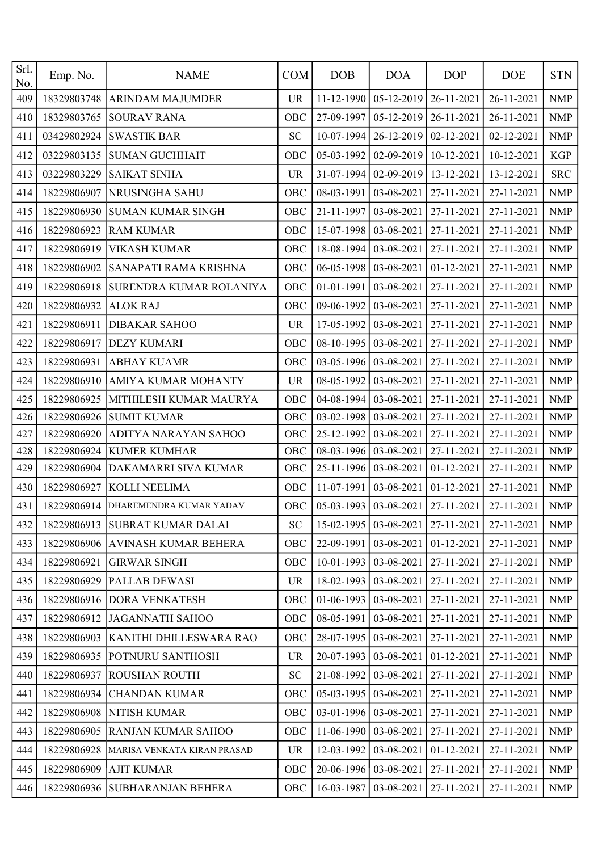| Srl.<br>No. | Emp. No.    | <b>NAME</b>                      | <b>COM</b> | <b>DOB</b> | <b>DOA</b> | <b>DOP</b>       | <b>DOE</b> | <b>STN</b>                |
|-------------|-------------|----------------------------------|------------|------------|------------|------------------|------------|---------------------------|
| 409         | 18329803748 | <b>ARINDAM MAJUMDER</b>          | <b>UR</b>  | 11-12-1990 | 05-12-2019 | 26-11-2021       | 26-11-2021 | <b>NMP</b>                |
| 410         | 18329803765 | <b>SOURAV RANA</b>               | OBC        | 27-09-1997 | 05-12-2019 | 26-11-2021       | 26-11-2021 | <b>NMP</b>                |
| 411         | 03429802924 | <b>SWASTIK BAR</b>               | <b>SC</b>  | 10-07-1994 | 26-12-2019 | $02 - 12 - 2021$ | 02-12-2021 | <b>NMP</b>                |
| 412         | 03229803135 | <b>SUMAN GUCHHAIT</b>            | OBC        | 05-03-1992 | 02-09-2019 | 10-12-2021       | 10-12-2021 | <b>KGP</b>                |
| 413         | 03229803229 | <b>SAIKAT SINHA</b>              | <b>UR</b>  | 31-07-1994 | 02-09-2019 | 13-12-2021       | 13-12-2021 | <b>SRC</b>                |
| 414         | 18229806907 | NRUSINGHA SAHU                   | OBC        | 08-03-1991 | 03-08-2021 | 27-11-2021       | 27-11-2021 | <b>NMP</b>                |
| 415         | 18229806930 | <b>SUMAN KUMAR SINGH</b>         | OBC        | 21-11-1997 | 03-08-2021 | 27-11-2021       | 27-11-2021 | <b>NMP</b>                |
| 416         | 18229806923 | <b>RAM KUMAR</b>                 | OBC        | 15-07-1998 | 03-08-2021 | 27-11-2021       | 27-11-2021 | <b>NMP</b>                |
| 417         | 18229806919 | <b>VIKASH KUMAR</b>              | OBC        | 18-08-1994 | 03-08-2021 | 27-11-2021       | 27-11-2021 | <b>NMP</b>                |
| 418         | 18229806902 | SANAPATI RAMA KRISHNA            | OBC        | 06-05-1998 | 03-08-2021 | 01-12-2021       | 27-11-2021 | <b>NMP</b>                |
| 419         | 18229806918 | SURENDRA KUMAR ROLANIYA          | OBC        | 01-01-1991 | 03-08-2021 | 27-11-2021       | 27-11-2021 | <b>NMP</b>                |
| 420         | 18229806932 | <b>ALOK RAJ</b>                  | OBC        | 09-06-1992 | 03-08-2021 | 27-11-2021       | 27-11-2021 | <b>NMP</b>                |
| 421         | 18229806911 | <b>DIBAKAR SAHOO</b>             | <b>UR</b>  | 17-05-1992 | 03-08-2021 | 27-11-2021       | 27-11-2021 | <b>NMP</b>                |
| 422         | 18229806917 | <b>DEZY KUMARI</b>               | OBC        | 08-10-1995 | 03-08-2021 | 27-11-2021       | 27-11-2021 | <b>NMP</b>                |
| 423         | 18229806931 | <b>ABHAY KUAMR</b>               | OBC        | 03-05-1996 | 03-08-2021 | 27-11-2021       | 27-11-2021 | <b>NMP</b>                |
| 424         | 18229806910 | AMIYA KUMAR MOHANTY              | <b>UR</b>  | 08-05-1992 | 03-08-2021 | 27-11-2021       | 27-11-2021 | <b>NMP</b>                |
| 425         | 18229806925 | MITHILESH KUMAR MAURYA           | OBC        | 04-08-1994 | 03-08-2021 | 27-11-2021       | 27-11-2021 | <b>NMP</b>                |
| 426         | 18229806926 | <b>SUMIT KUMAR</b>               | OBC        | 03-02-1998 | 03-08-2021 | 27-11-2021       | 27-11-2021 | <b>NMP</b>                |
| 427         | 18229806920 | ADITYA NARAYAN SAHOO             | OBC        | 25-12-1992 | 03-08-2021 | 27-11-2021       | 27-11-2021 | <b>NMP</b>                |
| 428         | 18229806924 | <b>KUMER KUMHAR</b>              | OBC        | 08-03-1996 | 03-08-2021 | 27-11-2021       | 27-11-2021 | <b>NMP</b>                |
| 429         | 18229806904 | DAKAMARRI SIVA KUMAR             | OBC        | 25-11-1996 | 03-08-2021 | 01-12-2021       | 27-11-2021 | <b>NMP</b>                |
| 430         | 18229806927 | KOLLI NEELIMA                    | OBC        | 11-07-1991 | 03-08-2021 | 01-12-2021       | 27-11-2021 | <b>NMP</b>                |
| 431         | 18229806914 | DHAREMENDRA KUMAR YADAV          | OBC        | 05-03-1993 | 03-08-2021 | 27-11-2021       | 27-11-2021 | <b>NMP</b>                |
| 432         | 18229806913 | <b>SUBRAT KUMAR DALAI</b>        | ${\rm SC}$ | 15-02-1995 | 03-08-2021 | 27-11-2021       | 27-11-2021 | <b>NMP</b>                |
| 433         |             | 18229806906 AVINASH KUMAR BEHERA | OBC        | 22-09-1991 | 03-08-2021 | 01-12-2021       | 27-11-2021 | <b>NMP</b>                |
| 434         | 18229806921 | <b>GIRWAR SINGH</b>              | OBC        | 10-01-1993 | 03-08-2021 | 27-11-2021       | 27-11-2021 | <b>NMP</b>                |
| 435         | 18229806929 | <b>PALLAB DEWASI</b>             | <b>UR</b>  | 18-02-1993 | 03-08-2021 | 27-11-2021       | 27-11-2021 | <b>NMP</b>                |
| 436         | 18229806916 | <b>DORA VENKATESH</b>            | OBC        | 01-06-1993 | 03-08-2021 | 27-11-2021       | 27-11-2021 | $\ensuremath{\text{NMP}}$ |
| 437         | 18229806912 | JAGANNATH SAHOO                  | OBC        | 08-05-1991 | 03-08-2021 | 27-11-2021       | 27-11-2021 | <b>NMP</b>                |
| 438         | 18229806903 | <b>KANITHI DHILLESWARA RAO</b>   | OBC        | 28-07-1995 | 03-08-2021 | 27-11-2021       | 27-11-2021 | <b>NMP</b>                |
| 439         | 18229806935 | <b>POTNURU SANTHOSH</b>          | <b>UR</b>  | 20-07-1993 | 03-08-2021 | 01-12-2021       | 27-11-2021 | <b>NMP</b>                |
| 440         | 18229806937 | <b>ROUSHAN ROUTH</b>             | <b>SC</b>  | 21-08-1992 | 03-08-2021 | 27-11-2021       | 27-11-2021 | <b>NMP</b>                |
| 441         | 18229806934 | <b>CHANDAN KUMAR</b>             | OBC        | 05-03-1995 | 03-08-2021 | 27-11-2021       | 27-11-2021 | <b>NMP</b>                |
| 442         | 18229806908 | NITISH KUMAR                     | OBC        | 03-01-1996 | 03-08-2021 | 27-11-2021       | 27-11-2021 | <b>NMP</b>                |
| 443         | 18229806905 | <b>RANJAN KUMAR SAHOO</b>        | OBC        | 11-06-1990 | 03-08-2021 | 27-11-2021       | 27-11-2021 | <b>NMP</b>                |
| 444         | 18229806928 | MARISA VENKATA KIRAN PRASAD      | <b>UR</b>  | 12-03-1992 | 03-08-2021 | 01-12-2021       | 27-11-2021 | <b>NMP</b>                |
| 445         | 18229806909 | <b>AJIT KUMAR</b>                | OBC        | 20-06-1996 | 03-08-2021 | 27-11-2021       | 27-11-2021 | <b>NMP</b>                |
| 446         |             | 18229806936 SUBHARANJAN BEHERA   | OBC        | 16-03-1987 | 03-08-2021 | 27-11-2021       | 27-11-2021 | <b>NMP</b>                |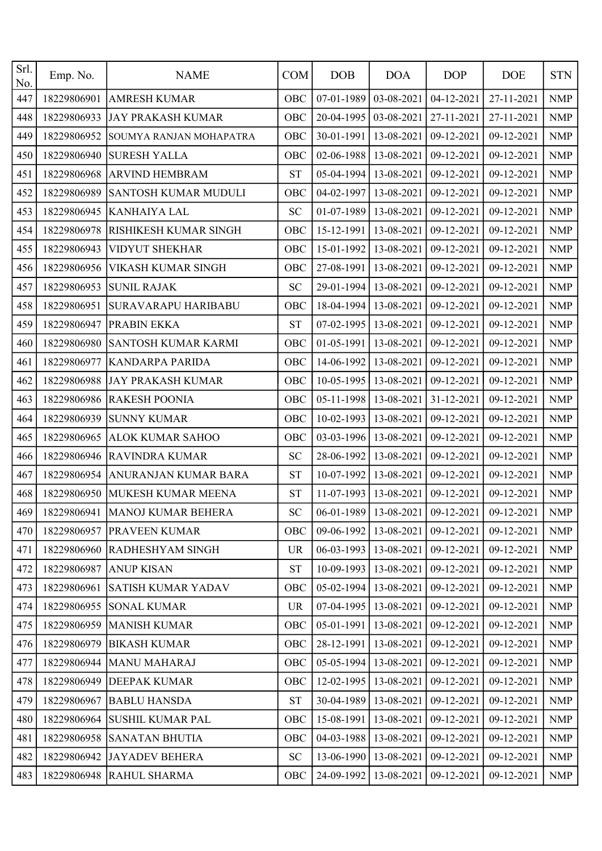| Srl.<br>No. | Emp. No.    | <b>NAME</b>                      | <b>COM</b> | <b>DOB</b> | <b>DOA</b> | <b>DOP</b> | <b>DOE</b>                                        | <b>STN</b>                |
|-------------|-------------|----------------------------------|------------|------------|------------|------------|---------------------------------------------------|---------------------------|
| 447         | 18229806901 | <b>AMRESH KUMAR</b>              | OBC        | 07-01-1989 | 03-08-2021 | 04-12-2021 | 27-11-2021                                        | <b>NMP</b>                |
| 448         | 18229806933 | <b>JAY PRAKASH KUMAR</b>         | OBC        | 20-04-1995 | 03-08-2021 | 27-11-2021 | 27-11-2021                                        | <b>NMP</b>                |
| 449         | 18229806952 | SOUMYA RANJAN MOHAPATRA          | OBC        | 30-01-1991 | 13-08-2021 | 09-12-2021 | 09-12-2021                                        | <b>NMP</b>                |
| 450         | 18229806940 | <b>SURESH YALLA</b>              | OBC        | 02-06-1988 | 13-08-2021 | 09-12-2021 | 09-12-2021                                        | <b>NMP</b>                |
| 451         | 18229806968 | <b>ARVIND HEMBRAM</b>            | <b>ST</b>  | 05-04-1994 | 13-08-2021 | 09-12-2021 | 09-12-2021                                        | <b>NMP</b>                |
| 452         | 18229806989 | SANTOSH KUMAR MUDULI             | OBC        | 04-02-1997 | 13-08-2021 | 09-12-2021 | 09-12-2021                                        | <b>NMP</b>                |
| 453         | 18229806945 | <b>KANHAIYA LAL</b>              | <b>SC</b>  | 01-07-1989 | 13-08-2021 | 09-12-2021 | 09-12-2021                                        | <b>NMP</b>                |
| 454         | 18229806978 | RISHIKESH KUMAR SINGH            | OBC        | 15-12-1991 | 13-08-2021 | 09-12-2021 | 09-12-2021                                        | <b>NMP</b>                |
| 455         | 18229806943 | <b>VIDYUT SHEKHAR</b>            | OBC        | 15-01-1992 | 13-08-2021 | 09-12-2021 | 09-12-2021                                        | <b>NMP</b>                |
| 456         | 18229806956 | VIKASH KUMAR SINGH               | OBC        | 27-08-1991 | 13-08-2021 | 09-12-2021 | 09-12-2021                                        | <b>NMP</b>                |
| 457         | 18229806953 | <b>SUNIL RAJAK</b>               | <b>SC</b>  | 29-01-1994 | 13-08-2021 | 09-12-2021 | 09-12-2021                                        | <b>NMP</b>                |
| 458         | 18229806951 | SURAVARAPU HARIBABU              | OBC        | 18-04-1994 | 13-08-2021 | 09-12-2021 | 09-12-2021                                        | <b>NMP</b>                |
| 459         | 18229806947 | PRABIN EKKA                      | <b>ST</b>  | 07-02-1995 | 13-08-2021 | 09-12-2021 | 09-12-2021                                        | $\ensuremath{\text{NMP}}$ |
| 460         | 18229806980 | SANTOSH KUMAR KARMI              | OBC        | 01-05-1991 | 13-08-2021 | 09-12-2021 | 09-12-2021                                        | <b>NMP</b>                |
| 461         | 18229806977 | KANDARPA PARIDA                  | OBC        | 14-06-1992 | 13-08-2021 | 09-12-2021 | 09-12-2021                                        | <b>NMP</b>                |
| 462         | 18229806988 | <b>JAY PRAKASH KUMAR</b>         | OBC        | 10-05-1995 | 13-08-2021 | 09-12-2021 | 09-12-2021                                        | <b>NMP</b>                |
| 463         | 18229806986 | <b>RAKESH POONIA</b>             | OBC        | 05-11-1998 | 13-08-2021 | 31-12-2021 | 09-12-2021                                        | <b>NMP</b>                |
| 464         | 18229806939 | <b>SUNNY KUMAR</b>               | OBC        | 10-02-1993 | 13-08-2021 | 09-12-2021 | 09-12-2021                                        | <b>NMP</b>                |
| 465         | 18229806965 | <b>ALOK KUMAR SAHOO</b>          | OBC        | 03-03-1996 | 13-08-2021 | 09-12-2021 | 09-12-2021                                        | <b>NMP</b>                |
| 466         | 18229806946 | <b>RAVINDRA KUMAR</b>            | <b>SC</b>  | 28-06-1992 | 13-08-2021 | 09-12-2021 | 09-12-2021                                        | <b>NMP</b>                |
| 467         | 18229806954 | ANURANJAN KUMAR BARA             | <b>ST</b>  | 10-07-1992 | 13-08-2021 | 09-12-2021 | 09-12-2021                                        | <b>NMP</b>                |
| 468         | 18229806950 | MUKESH KUMAR MEENA               | <b>ST</b>  | 11-07-1993 | 13-08-2021 | 09-12-2021 | 09-12-2021                                        | <b>NMP</b>                |
| 469         |             | 18229806941   MANOJ KUMAR BEHERA | SC         |            |            |            | 06-01-1989   13-08-2021   09-12-2021   09-12-2021 | <b>NMP</b>                |
| 470         |             | 18229806957 PRAVEEN KUMAR        | OBC        | 09-06-1992 | 13-08-2021 | 09-12-2021 | 09-12-2021                                        | <b>NMP</b>                |
| 471         |             | 18229806960 RADHESHYAM SINGH     | UR         | 06-03-1993 | 13-08-2021 | 09-12-2021 | 09-12-2021                                        | <b>NMP</b>                |
| 472         | 18229806987 | <b>ANUP KISAN</b>                | <b>ST</b>  | 10-09-1993 | 13-08-2021 | 09-12-2021 | 09-12-2021                                        | <b>NMP</b>                |
| 473         | 18229806961 | <b>SATISH KUMAR YADAV</b>        | <b>OBC</b> | 05-02-1994 | 13-08-2021 | 09-12-2021 | 09-12-2021                                        | NMP                       |
| 474         | 18229806955 | <b>SONAL KUMAR</b>               | <b>UR</b>  | 07-04-1995 | 13-08-2021 | 09-12-2021 | 09-12-2021                                        | <b>NMP</b>                |
| 475         | 18229806959 | <b>MANISH KUMAR</b>              | OBC        | 05-01-1991 | 13-08-2021 | 09-12-2021 | 09-12-2021                                        | <b>NMP</b>                |
| 476         | 18229806979 | <b>BIKASH KUMAR</b>              | OBC        | 28-12-1991 | 13-08-2021 | 09-12-2021 | 09-12-2021                                        | <b>NMP</b>                |
| 477         | 18229806944 | MANU MAHARAJ                     | OBC        | 05-05-1994 | 13-08-2021 | 09-12-2021 | 09-12-2021                                        | <b>NMP</b>                |
| 478         | 18229806949 | <b>DEEPAK KUMAR</b>              | OBC        | 12-02-1995 | 13-08-2021 | 09-12-2021 | 09-12-2021                                        | <b>NMP</b>                |
| 479         | 18229806967 | <b>BABLU HANSDA</b>              | <b>ST</b>  | 30-04-1989 | 13-08-2021 | 09-12-2021 | 09-12-2021                                        | <b>NMP</b>                |
| 480         | 18229806964 | <b>SUSHIL KUMAR PAL</b>          | OBC        | 15-08-1991 | 13-08-2021 | 09-12-2021 | 09-12-2021                                        | <b>NMP</b>                |
| 481         | 18229806958 | <b>SANATAN BHUTIA</b>            | OBC        | 04-03-1988 | 13-08-2021 | 09-12-2021 | 09-12-2021                                        | <b>NMP</b>                |
| 482         | 18229806942 | <b>JAYADEV BEHERA</b>            | SC         | 13-06-1990 | 13-08-2021 | 09-12-2021 | 09-12-2021                                        | <b>NMP</b>                |
| 483         |             | 18229806948 RAHUL SHARMA         | OBC        | 24-09-1992 | 13-08-2021 | 09-12-2021 | 09-12-2021                                        | NMP                       |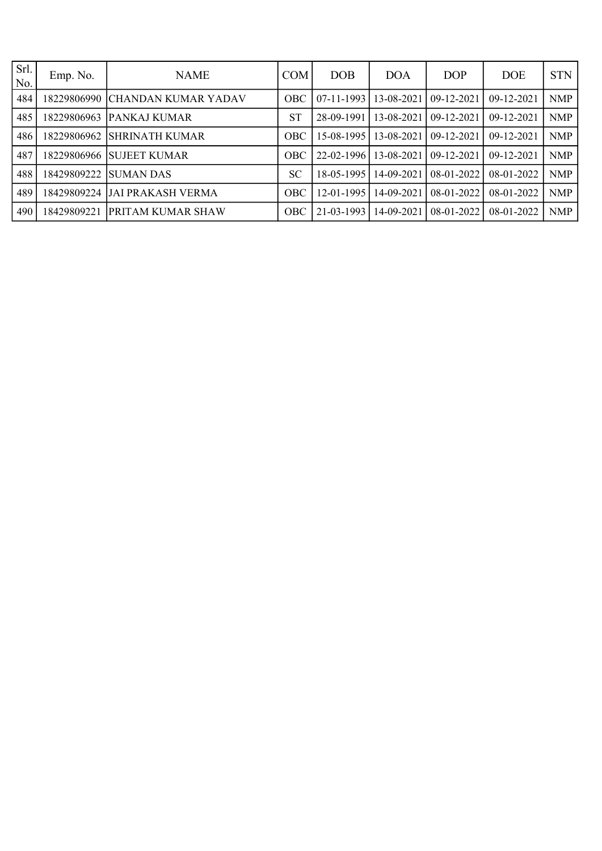| Srl.<br>No. | Emp. No.    | <b>NAME</b>                | <b>COM</b> | <b>DOB</b>   | <b>DOA</b> | <b>DOP</b>       | <b>DOE</b>       | <b>STN</b> |
|-------------|-------------|----------------------------|------------|--------------|------------|------------------|------------------|------------|
| 484         | 8229806990  | <b>CHANDAN KUMAR YADAV</b> | <b>OBC</b> | $07-11-1993$ | 13-08-2021 | $09 - 12 - 2021$ | 09-12-2021       | <b>NMP</b> |
| 485         | 8229806963  | <b>PANKAJ KUMAR</b>        | <b>ST</b>  | 28-09-1991   | 13-08-2021 | 09-12-2021       | 09-12-2021       | <b>NMP</b> |
| 486         | 18229806962 | <b>SHRINATH KUMAR</b>      | <b>OBC</b> | 15-08-1995   | 13-08-2021 | $09 - 12 - 2021$ | $09-12-2021$     | <b>NMP</b> |
| 487         | 18229806966 | <b>SUJEET KUMAR</b>        | <b>OBC</b> | 22-02-1996   | 13-08-2021 | $09 - 12 - 2021$ | $09 - 12 - 2021$ | <b>NMP</b> |
| 488         | 8429809222  | <b>SUMAN DAS</b>           | SC         | 18-05-1995   | 14-09-2021 | 08-01-2022       | 08-01-2022       | <b>NMP</b> |
| 489         | 18429809224 | JAI PRAKASH VERMA          | <b>OBC</b> | 12-01-1995   | 14-09-2021 | 08-01-2022       | 08-01-2022       | <b>NMP</b> |
| 490         | 18429809221 | <b>IPRITAM KUMAR SHAW</b>  | <b>OBC</b> | 21-03-1993   | 14-09-2021 | 08-01-2022       | 08-01-2022       | <b>NMP</b> |